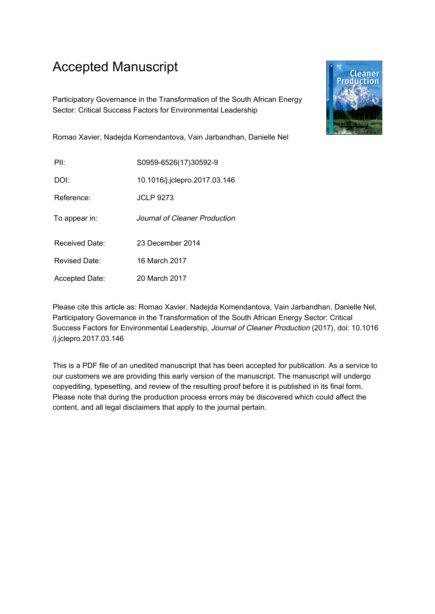# Accepted Manuscript

Participatory Governance in the Transformation of the South African Energy Sector: Critical Success Factors for Environmental Leadership

Romao Xavier, Nadejda Komendantova, Vain Jarbandhan, Danielle Nel

| PII:           | S0959-6526(17)30592-9         |
|----------------|-------------------------------|
| DOI:           | 10.1016/j.jclepro.2017.03.146 |
| Reference:     | <b>JCLP 9273</b>              |
| To appear in:  | Journal of Cleaner Production |
| Received Date: | 23 December 2014              |
| Revised Date:  | 16 March 2017                 |
| Accepted Date: | 20 March 2017                 |

**Cleaner** 

Please cite this article as: Romao Xavier, Nadejda Komendantova, Vain Jarbandhan, Danielle Nel, Participatory Governance in the Transformation of the South African Energy Sector: Critical Success Factors for Environmental Leadership, Journal of Cleaner Production (2017), doi: 10.1016 /j.jclepro.2017.03.146

This is a PDF file of an unedited manuscript that has been accepted for publication. As a service to our customers we are providing this early version of the manuscript. The manuscript will undergo copyediting, typesetting, and review of the resulting proof before it is published in its final form. Please note that during the production process errors may be discovered which could affect the content, and all legal disclaimers that apply to the journal pertain.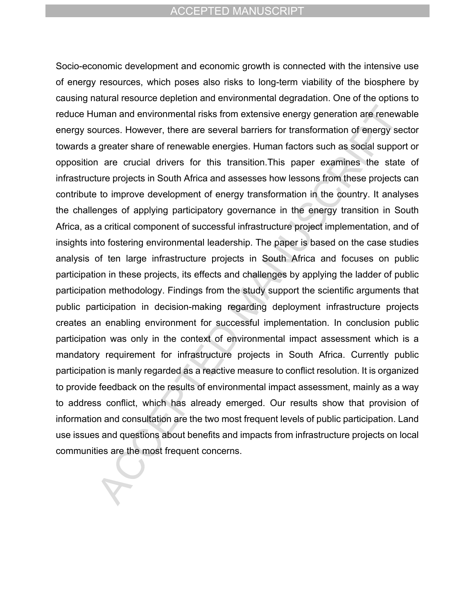Socio-economic development and economic growth is connected with the intensive use of energy resources, which poses also risks to long-term viability of the biosphere by causing natural resource depletion and environmental degradation. One of the options to reduce Human and environmental risks from extensive energy generation are renewable energy sources. However, there are several barriers for transformation of energy sector towards a greater share of renewable energies. Human factors such as social support or opposition are crucial drivers for this transition.This paper examines the state of infrastructure projects in South Africa and assesses how lessons from these projects can contribute to improve development of energy transformation in the country. It analyses the challenges of applying participatory governance in the energy transition in South Africa, as a critical component of successful infrastructure project implementation, and of insights into fostering environmental leadership. The paper is based on the case studies analysis of ten large infrastructure projects in South Africa and focuses on public participation in these projects, its effects and challenges by applying the ladder of public participation methodology. Findings from the study support the scientific arguments that public participation in decision-making regarding deployment infrastructure projects creates an enabling environment for successful implementation. In conclusion public participation was only in the context of environmental impact assessment which is a mandatory requirement for infrastructure projects in South Africa. Currently public participation is manly regarded as a reactive measure to conflict resolution. It is organized to provide feedback on the results of environmental impact assessment, mainly as a way to address conflict, which has already emerged. Our results show that provision of information and consultation are the two most frequent levels of public participation. Land use issues and questions about benefits and impacts from infrastructure projects on local communities are the most frequent concerns.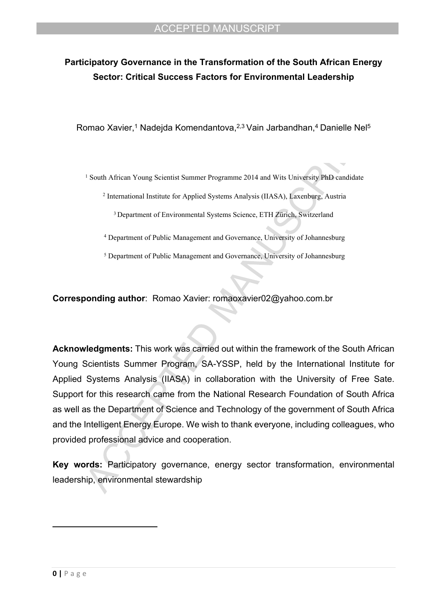## **Participatory Governance in the Transformation of the South African Energy Sector: Critical Success Factors for Environmental Leadership**

Romao Xavier,<sup>1</sup> Nadejda Komendantova, <sup>2,3</sup> Vain Jarbandhan, <sup>4</sup> Danielle Nel<sup>5</sup>

<sup>1</sup> South African Young Scientist Summer Programme 2014 and Wits University PhD candidate

2 International Institute for Applied Systems Analysis (IIASA), Laxenburg, Austria

<sup>3</sup> Department of Environmental Systems Science, ETH Zürich, Switzerland

4 Department of Public Management and Governance, University of Johannesburg

<sup>5</sup> Department of Public Management and Governance, University of Johannesburg

**Corresponding author**: Romao Xavier: [romaoxavier02@yahoo.com.br](mailto:romaoxavier02@yahoo.com.br) 

**Acknowledgments:** This work was carried out within the framework of the South African Young Scientists Summer Program, SA-YSSP, held by the International Institute for Applied Systems Analysis (IIASA) in collaboration with the University of Free Sate. Support for this research came from the National Research Foundation of South Africa as well as the Department of Science and Technology of the government of South Africa and the Intelligent Energy Europe. We wish to thank everyone, including colleagues, who provided professional advice and cooperation.

**Key words:** Participatory governance, energy sector transformation, environmental leadership, environmental stewardship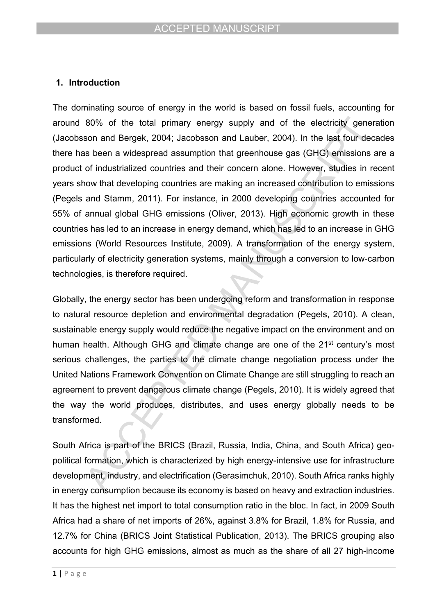### **1. Introduction**

The dominating source of energy in the world is based on fossil fuels, accounting for around 80% of the total primary energy supply and of the electricity generation (Jacobsson and Bergek, 2004; Jacobsson and Lauber, 2004). In the last four decades there has been a widespread assumption that greenhouse gas (GHG) emissions are a product of industrialized countries and their concern alone. However, studies in recent years show that developing countries are making an increased contribution to emissions (Pegels and Stamm, 2011). For instance, in 2000 developing countries accounted for 55% of annual global GHG emissions (Oliver, 2013). High economic growth in these countries has led to an increase in energy demand, which has led to an increase in GHG emissions (World Resources Institute, 2009). A transformation of the energy system, particularly of electricity generation systems, mainly through a conversion to low-carbon technologies, is therefore required.

Globally, the energy sector has been undergoing reform and transformation in response to natural resource depletion and environmental degradation (Pegels, 2010). A clean, sustainable energy supply would reduce the negative impact on the environment and on human health. Although GHG and climate change are one of the 21<sup>st</sup> century's most serious challenges, the parties to the climate change negotiation process under the United Nations Framework Convention on Climate Change are still struggling to reach an agreement to prevent dangerous climate change (Pegels, 2010). It is widely agreed that the way the world produces, distributes, and uses energy globally needs to be transformed.

South Africa is part of the BRICS (Brazil, Russia, India, China, and South Africa) geopolitical formation, which is characterized by high energy-intensive use for infrastructure development, industry, and electrification (Gerasimchuk, 2010). South Africa ranks highly in energy consumption because its economy is based on heavy and extraction industries. It has the highest net import to total consumption ratio in the bloc. In fact, in 2009 South Africa had a share of net imports of 26%, against 3.8% for Brazil, 1.8% for Russia, and 12.7% for China (BRICS Joint Statistical Publication, 2013). The BRICS grouping also accounts for high GHG emissions, almost as much as the share of all 27 high-income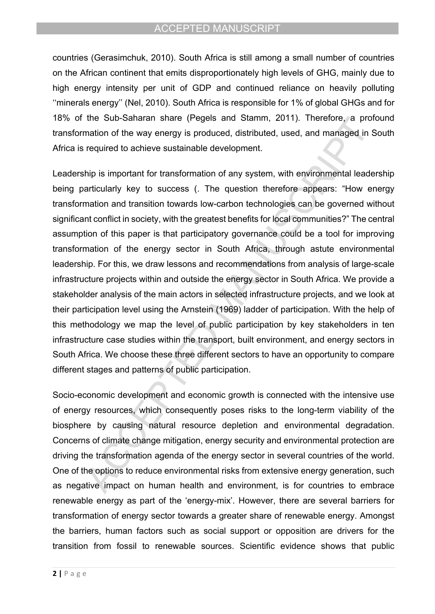countries (Gerasimchuk, 2010). South Africa is still among a small number of countries on the African continent that emits disproportionately high levels of GHG, mainly due to high energy intensity per unit of GDP and continued reliance on heavily polluting ''minerals energy'' (Nel, 2010). South Africa is responsible for 1% of global GHGs and for 18% of the Sub-Saharan share (Pegels and Stamm, 2011). Therefore, a profound transformation of the way energy is produced, distributed, used, and managed in South Africa is required to achieve sustainable development.

Leadership is important for transformation of any system, with environmental leadership being particularly key to success (. The question therefore appears: "How energy transformation and transition towards low-carbon technologies can be governed without significant conflict in society, with the greatest benefits for local communities?" The central assumption of this paper is that participatory governance could be a tool for improving transformation of the energy sector in South Africa, through astute environmental leadership. For this, we draw lessons and recommendations from analysis of large-scale infrastructure projects within and outside the energy sector in South Africa. We provide a stakeholder analysis of the main actors in selected infrastructure projects, and we look at their participation level using the Arnstein (1969) ladder of participation. With the help of this methodology we map the level of public participation by key stakeholders in ten infrastructure case studies within the transport, built environment, and energy sectors in South Africa. We choose these three different sectors to have an opportunity to compare different stages and patterns of public participation.

Socio-economic development and economic growth is connected with the intensive use of energy resources, which consequently poses risks to the long-term viability of the biosphere by causing natural resource depletion and environmental degradation. Concerns of climate change mitigation, energy security and environmental protection are driving the transformation agenda of the energy sector in several countries of the world. One of the options to reduce environmental risks from extensive energy generation, such as negative impact on human health and environment, is for countries to embrace renewable energy as part of the 'energy-mix'. However, there are several barriers for transformation of energy sector towards a greater share of renewable energy. Amongst the barriers, human factors such as social support or opposition are drivers for the transition from fossil to renewable sources. Scientific evidence shows that public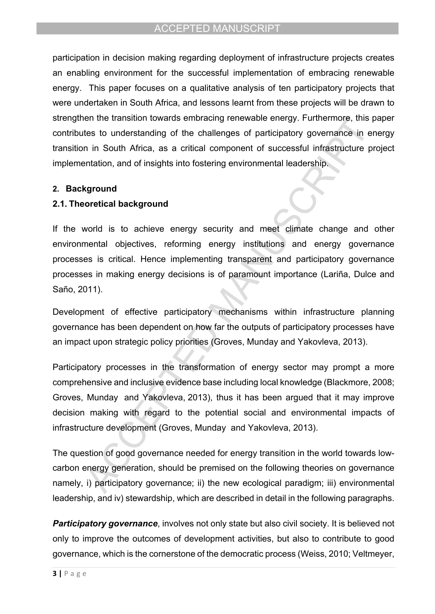participation in decision making regarding deployment of infrastructure projects creates an enabling environment for the successful implementation of embracing renewable energy. This paper focuses on a qualitative analysis of ten participatory projects that were undertaken in South Africa, and lessons learnt from these projects will be drawn to strengthen the transition towards embracing renewable energy. Furthermore, this paper contributes to understanding of the challenges of participatory governance in energy transition in South Africa, as a critical component of successful infrastructure project implementation, and of insights into fostering environmental leadership.

#### **2. Background**

## **2.1. Theoretical background**

If the world is to achieve energy security and meet climate change and other environmental objectives, reforming energy institutions and energy governance processes is critical. Hence implementing transparent and participatory governance processes in making energy decisions is of paramount importance (Lariña, Dulce and Saño, 2011).

Development of effective participatory mechanisms within infrastructure planning governance has been dependent on how far the outputs of participatory processes have an impact upon strategic policy priorities (Groves, Munday and Yakovleva, 2013).

Participatory processes in the transformation of energy sector may prompt a more comprehensive and inclusive evidence base including local knowledge (Blackmore, 2008; Groves, Munday and Yakovleva, 2013), thus it has been argued that it may improve decision making with regard to the potential social and environmental impacts of infrastructure development (Groves, Munday and Yakovleva, 2013).

The question of good governance needed for energy transition in the world towards lowcarbon energy generation, should be premised on the following theories on governance namely, i) participatory governance; ii) the new ecological paradigm; iii) environmental leadership, and iv) stewardship, which are described in detail in the following paragraphs.

**Participatory governance**, involves not only state but also civil society. It is believed not only to improve the outcomes of development activities, but also to contribute to good governance, which is the cornerstone of the democratic process (Weiss, 2010; Veltmeyer,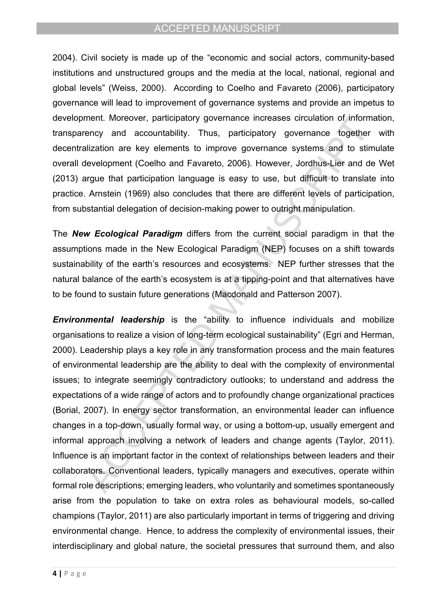2004). Civil society is made up of the "economic and social actors, community-based institutions and unstructured groups and the media at the local, national, regional and global levels" (Weiss, 2000). According to Coelho and Favareto (2006), participatory governance will lead to improvement of governance systems and provide an impetus to development. Moreover, participatory governance increases circulation of information, transparency and accountability. Thus, participatory governance together with decentralization are key elements to improve governance systems and to stimulate overall development (Coelho and Favareto, 2006). However, Jordhus-Lier and de Wet (2013) argue that participation language is easy to use, but difficult to translate into practice. Arnstein (1969) also concludes that there are different levels of participation, from substantial delegation of decision-making power to outright manipulation.

The *New Ecological Paradigm* differs from the current social paradigm in that the assumptions made in the New Ecological Paradigm (NEP) focuses on a shift towards sustainability of the earth's resources and ecosystems. NEP further stresses that the natural balance of the earth's ecosystem is at a tipping-point and that alternatives have to be found to sustain future generations (Macdonald and Patterson 2007).

**Environmental leadership** is the "ability to influence individuals and mobilize organisations to realize a vision of long-term ecological sustainability" (Egri and Herman, 2000). Leadership plays a key role in any transformation process and the main features of environmental leadership are the ability to deal with the complexity of environmental issues; to integrate seemingly contradictory outlooks; to understand and address the expectations of a wide range of actors and to profoundly change organizational practices (Borial, 2007). In energy sector transformation, an environmental leader can influence changes in a top-down, usually formal way, or using a bottom-up, usually emergent and informal approach involving a network of leaders and change agents (Taylor, 2011). Influence is an important factor in the context of relationships between leaders and their collaborators. Conventional leaders, typically managers and executives, operate within formal role descriptions; emerging leaders, who voluntarily and sometimes spontaneously arise from the population to take on extra roles as behavioural models, so-called champions (Taylor, 2011) are also particularly important in terms of triggering and driving environmental change. Hence, to address the complexity of environmental issues, their interdisciplinary and global nature, the societal pressures that surround them, and also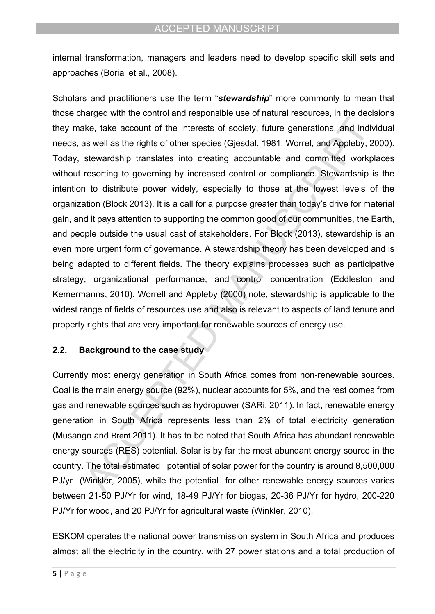internal transformation, managers and leaders need to develop specific skill sets and approaches (Borial et al., 2008).

Scholars and practitioners use the term "*stewardship*" more commonly to mean that those charged with the control and responsible use of natural resources, in the decisions they make, take account of the interests of society, future generations, and individual needs, as well as the rights of other species (Gjesdal, 1981; Worrel, and Appleby, 2000). Today, stewardship translates into creating accountable and committed workplaces without resorting to governing by increased control or compliance. Stewardship is the intention to distribute power widely, especially to those at the lowest levels of the organization (Block 2013). It is a call for a purpose greater than today's drive for material gain, and it pays attention to supporting the common good of our communities, the Earth, and people outside the usual cast of stakeholders. For Block (2013), stewardship is an even more urgent form of governance. A stewardship theory has been developed and is being adapted to different fields. The theory explains processes such as participative strategy, organizational performance, and control concentration (Eddleston and Kemermanns, 2010). Worrell and Appleby (2000) note, stewardship is applicable to the widest range of fields of resources use and also is relevant to aspects of land tenure and property rights that are very important for renewable sources of energy use.

## **2.2. Background to the case study**

Currently most energy generation in South Africa comes from non-renewable sources. Coal is the main energy source (92%), nuclear accounts for 5%, and the rest comes from gas and renewable sources such as hydropower (SARi, 2011). In fact, renewable energy generation in South Africa represents less than 2% of total electricity generation (Musango and Brent 2011). It has to be noted that South Africa has abundant renewable energy sources (RES) potential. Solar is by far the most abundant energy source in the country. The total estimated potential of solar power for the country is around 8,500,000 PJ/yr (Winkler, 2005), while the potential for other renewable energy sources varies between 21-50 PJ/Yr for wind, 18-49 PJ/Yr for biogas, 20-36 PJ/Yr for hydro, 200-220 PJ/Yr for wood, and 20 PJ/Yr for agricultural waste (Winkler, 2010).

ESKOM operates the national power transmission system in South Africa and produces almost all the electricity in the country, with 27 power stations and a total production of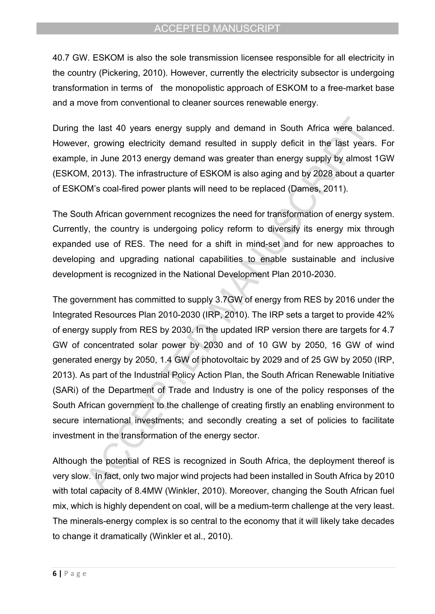40.7 GW. ESKOM is also the sole transmission licensee responsible for all electricity in the country (Pickering, 2010). However, currently the electricity subsector is undergoing transformation in terms of the monopolistic approach of ESKOM to a free-market base and a move from conventional to cleaner sources renewable energy.

During the last 40 years energy supply and demand in South Africa were balanced. However, growing electricity demand resulted in supply deficit in the last years. For example, in June 2013 energy demand was greater than energy supply by almost 1GW (ESKOM, 2013). The infrastructure of ESKOM is also aging and by 2028 about a quarter of ESKOM's coal-fired power plants will need to be replaced (Dames, 2011).

The South African government recognizes the need for transformation of energy system. Currently, the country is undergoing policy reform to diversify its energy mix through expanded use of RES. The need for a shift in mind-set and for new approaches to developing and upgrading national capabilities to enable sustainable and inclusive development is recognized in the National Development Plan 2010-2030.

The government has committed to supply 3.7GW of energy from RES by 2016 under the Integrated Resources Plan 2010-2030 (IRP, 2010). The IRP sets a target to provide 42% of energy supply from RES by 2030. In the updated IRP version there are targets for 4.7 GW of concentrated solar power by 2030 and of 10 GW by 2050, 16 GW of wind generated energy by 2050, 1.4 GW of photovoltaic by 2029 and of 25 GW by 2050 (IRP, 2013). As part of the Industrial Policy Action Plan, the South African Renewable Initiative (SARi) of the Department of Trade and Industry is one of the policy responses of the South African government to the challenge of creating firstly an enabling environment to secure international investments; and secondly creating a set of policies to facilitate investment in the transformation of the energy sector.

Although the potential of RES is recognized in South Africa, the deployment thereof is very slow. In fact, only two major wind projects had been installed in South Africa by 2010 with total capacity of 8.4MW (Winkler, 2010). Moreover, changing the South African fuel mix, which is highly dependent on coal, will be a medium-term challenge at the very least. The minerals-energy complex is so central to the economy that it will likely take decades to change it dramatically (Winkler et al., 2010).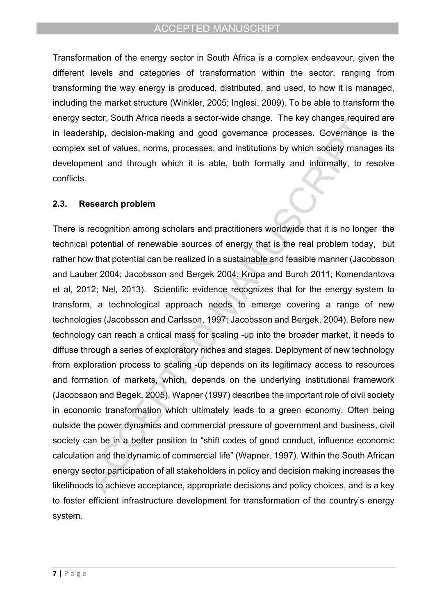Transformation of the energy sector in South Africa is a complex endeavour, given the different levels and categories of transformation within the sector, ranging from transforming the way energy is produced, distributed, and used, to how it is managed, including the market structure (Winkler, 2005; Inglesi, 2009). To be able to transform the energy sector, South Africa needs a sector-wide change. The key changes required are in leadership, decision-making and good governance processes. Governance is the complex set of values, norms, processes, and institutions by which society manages its development and through which it is able, both formally and informally, to resolve conflicts.

#### **2.3. Research problem**

There is recognition among scholars and practitioners worldwide that it is no longer the technical potential of renewable sources of energy that is the real problem today, but rather how that potential can be realized in a sustainable and feasible manner (Jacobsson and Lauber 2004; Jacobsson and Bergek 2004; Krupa and Burch 2011; Komendantova et al, 2012; Nel, 2013). Scientific evidence recognizes that for the energy system to transform, a technological approach needs to emerge covering a range of new technologies (Jacobsson and Carlsson, 1997; Jacobsson and Bergek, 2004). Before new technology can reach a critical mass for scaling -up into the broader market, it needs to diffuse through a series of exploratory niches and stages. Deployment of new technology from exploration process to scaling -up depends on its legitimacy access to resources and formation of markets, which, depends on the underlying institutional framework (Jacobsson and Begek, 2005). Wapner (1997) describes the important role of civil society in economic transformation which ultimately leads to a green economy. Often being outside the power dynamics and commercial pressure of government and business, civil society can be in a better position to "shift codes of good conduct, influence economic calculation and the dynamic of commercial life" (Wapner, 1997). Within the South African energy sector participation of all stakeholders in policy and decision making increases the likelihoods to achieve acceptance, appropriate decisions and policy choices, and is a key to foster efficient infrastructure development for transformation of the country's energy system.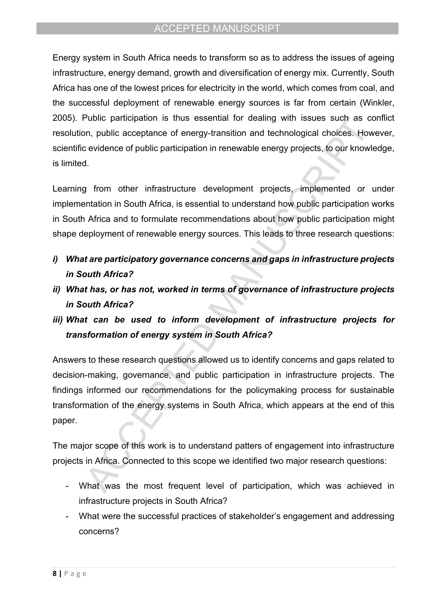Energy system in South Africa needs to transform so as to address the issues of ageing infrastructure, energy demand, growth and diversification of energy mix. Currently, South Africa has one of the lowest prices for electricity in the world, which comes from coal, and the successful deployment of renewable energy sources is far from certain (Winkler, 2005). Public participation is thus essential for dealing with issues such as conflict resolution, public acceptance of energy-transition and technological choices. However, scientific evidence of public participation in renewable energy projects, to our knowledge, is limited.

Learning from other infrastructure development projects, implemented or under implementation in South Africa, is essential to understand how public participation works in South Africa and to formulate recommendations about how public participation might shape deployment of renewable energy sources. This leads to three research questions:

- *i) What are participatory governance concerns and gaps in infrastructure projects in South Africa?*
- *ii) What has, or has not, worked in terms of governance of infrastructure projects in South Africa?*
- *iii) What can be used to inform development of infrastructure projects for transformation of energy system in South Africa?*

Answers to these research questions allowed us to identify concerns and gaps related to decision-making, governance, and public participation in infrastructure projects. The findings informed our recommendations for the policymaking process for sustainable transformation of the energy systems in South Africa, which appears at the end of this paper.

The major scope of this work is to understand patters of engagement into infrastructure projects in Africa. Connected to this scope we identified two major research questions:

- What was the most frequent level of participation, which was achieved in infrastructure projects in South Africa?
- What were the successful practices of stakeholder's engagement and addressing concerns?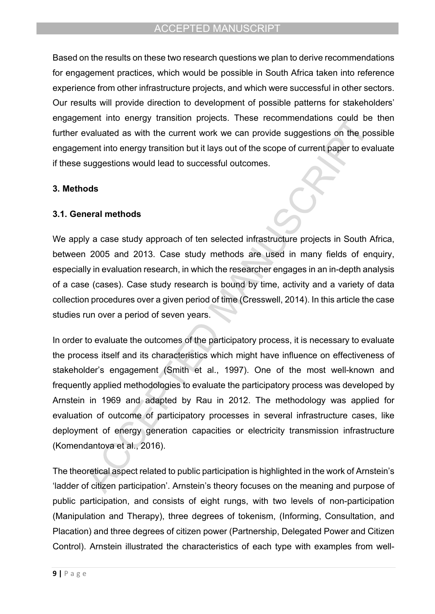Based on the results on these two research questions we plan to derive recommendations for engagement practices, which would be possible in South Africa taken into reference experience from other infrastructure projects, and which were successful in other sectors. Our results will provide direction to development of possible patterns for stakeholders' engagement into energy transition projects. These recommendations could be then further evaluated as with the current work we can provide suggestions on the possible engagement into energy transition but it lays out of the scope of current paper to evaluate if these suggestions would lead to successful outcomes.

#### **3. Methods**

#### **3.1. General methods**

We apply a case study approach of ten selected infrastructure projects in South Africa, between 2005 and 2013. Case study methods are used in many fields of enquiry, especially in evaluation research, in which the researcher engages in an in-depth analysis of a case (cases). Case study research is bound by time, activity and a variety of data collection procedures over a given period of time (Cresswell, 2014). In this article the case studies run over a period of seven years.

In order to evaluate the outcomes of the participatory process, it is necessary to evaluate the process itself and its characteristics which might have influence on effectiveness of stakeholder's engagement (Smith et al., 1997). One of the most well-known and frequently applied methodologies to evaluate the participatory process was developed by Arnstein in 1969 and adapted by Rau in 2012. The methodology was applied for evaluation of outcome of participatory processes in several infrastructure cases, like deployment of energy generation capacities or electricity transmission infrastructure (Komendantova et al., 2016).

The theoretical aspect related to public participation is highlighted in the work of Arnstein's 'ladder of citizen participation'. Arnstein's theory focuses on the meaning and purpose of public participation, and consists of eight rungs, with two levels of non-participation (Manipulation and Therapy), three degrees of tokenism, (Informing, Consultation, and Placation) and three degrees of citizen power (Partnership, Delegated Power and Citizen Control). Arnstein illustrated the characteristics of each type with examples from well-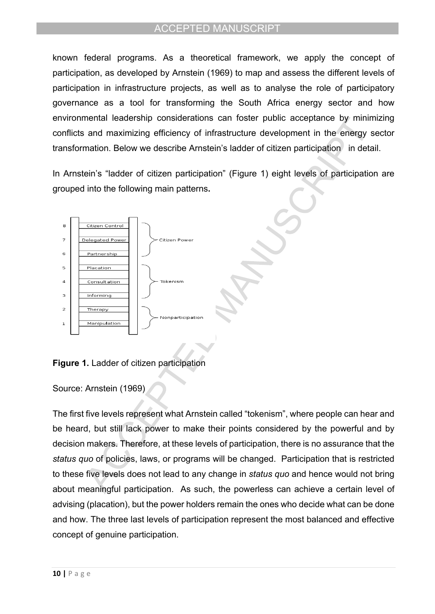known federal programs. As a theoretical framework, we apply the concept of participation, as developed by Arnstein (1969) to map and assess the different levels of participation in infrastructure projects, as well as to analyse the role of participatory governance as a tool for transforming the South Africa energy sector and how environmental leadership considerations can foster public acceptance by minimizing conflicts and maximizing efficiency of infrastructure development in the energy sector transformation. Below we describe Arnstein's ladder of citizen participation in detail.

In Arnstein's "ladder of citizen participation" (Figure 1) eight levels of participation are grouped into the following main patterns**.** 



#### **Figure 1.** Ladder of citizen participation

## Source: Arnstein (1969)

The first five levels represent what Arnstein called "tokenism", where people can hear and be heard, but still lack power to make their points considered by the powerful and by decision makers. Therefore, at these levels of participation, there is no assurance that the *status quo* of policies, laws, or programs will be changed. Participation that is restricted to these five levels does not lead to any change in *status quo* and hence would not bring about meaningful participation. As such, the powerless can achieve a certain level of advising (placation), but the power holders remain the ones who decide what can be done and how. The three last levels of participation represent the most balanced and effective concept of genuine participation.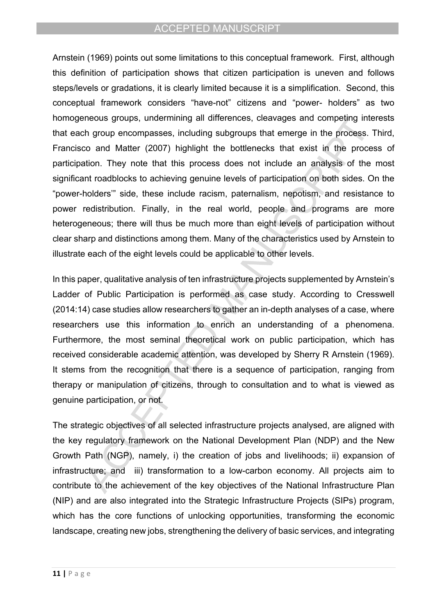Arnstein (1969) points out some limitations to this conceptual framework. First, although this definition of participation shows that citizen participation is uneven and follows steps/levels or gradations, it is clearly limited because it is a simplification. Second, this conceptual framework considers "have-not" citizens and "power- holders" as two homogeneous groups, undermining all differences, cleavages and competing interests that each group encompasses, including subgroups that emerge in the process. Third, Francisco and Matter (2007) highlight the bottlenecks that exist in the process of participation. They note that this process does not include an analysis of the most significant roadblocks to achieving genuine levels of participation on both sides. On the "power-holders'" side, these include racism, paternalism, nepotism, and resistance to power redistribution. Finally, in the real world, people and programs are more heterogeneous; there will thus be much more than eight levels of participation without clear sharp and distinctions among them. Many of the characteristics used by Arnstein to illustrate each of the eight levels could be applicable to other levels.

In this paper, qualitative analysis of ten infrastructure projects supplemented by Arnstein's Ladder of Public Participation is performed as case study. According to Cresswell (2014:14) case studies allow researchers to gather an in-depth analyses of a case, where researchers use this information to enrich an understanding of a phenomena. Furthermore, the most seminal theoretical work on public participation, which has received considerable academic attention, was developed by Sherry R Arnstein (1969). It stems from the recognition that there is a sequence of participation, ranging from therapy or manipulation of citizens, through to consultation and to what is viewed as genuine participation, or not.

The strategic objectives of all selected infrastructure projects analysed, are aligned with the key regulatory framework on the National Development Plan (NDP) and the New Growth Path (NGP), namely, i) the creation of jobs and livelihoods; ii) expansion of infrastructure; and iii) transformation to a low-carbon economy. All projects aim to contribute to the achievement of the key objectives of the National Infrastructure Plan (NIP) and are also integrated into the Strategic Infrastructure Projects (SIPs) program, which has the core functions of unlocking opportunities, transforming the economic landscape, creating new jobs, strengthening the delivery of basic services, and integrating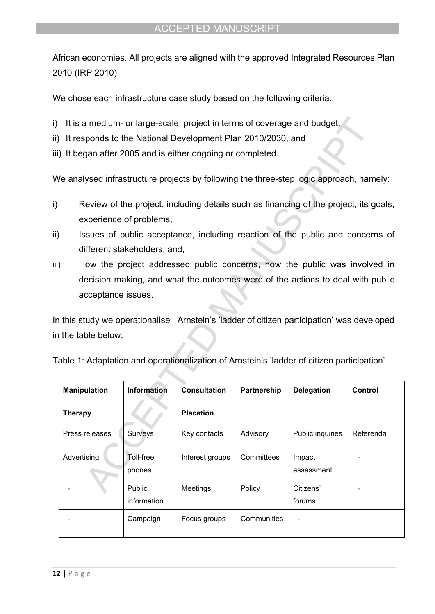African economies. All projects are aligned with the approved Integrated Resources Plan 2010 (IRP 2010).

We chose each infrastructure case study based on the following criteria:

- i) It is a medium- or large-scale project in terms of coverage and budget,
- ii) It responds to the National Development Plan 2010/2030, and
- iii) It began after 2005 and is either ongoing or completed.

We analysed infrastructure projects by following the three-step logic approach, namely:

- i) Review of the project, including details such as financing of the project, its goals, experience of problems,
- ii) Issues of public acceptance, including reaction of the public and concerns of different stakeholders, and,
- iii) How the project addressed public concerns, how the public was involved in decision making, and what the outcomes were of the actions to deal with public acceptance issues.

In this study we operationalise Arnstein's 'ladder of citizen participation' was developed in the table below:

| <b>Manipulation</b> | <b>Information</b>    | <b>Consultation</b> | Partnership | <b>Delegation</b>    | <b>Control</b> |
|---------------------|-----------------------|---------------------|-------------|----------------------|----------------|
| <b>Therapy</b>      |                       | <b>Placation</b>    |             |                      |                |
| Press releases      | Surveys               | Key contacts        | Advisory    | Public inquiries     | Referenda      |
| Advertising         | Toll-free<br>phones   | Interest groups     | Committees  | Impact<br>assessment |                |
|                     | Public<br>information | Meetings            | Policy      | Citizens'<br>forums  |                |
|                     | Campaign              | Focus groups        | Communities |                      |                |

Table 1: Adaptation and operationalization of Arnstein's 'ladder of citizen participation'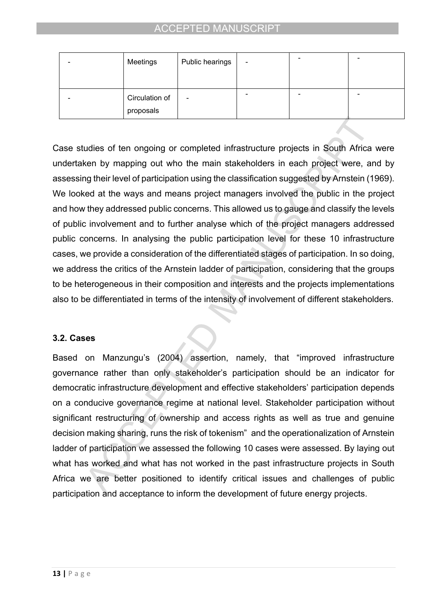| $\overline{\phantom{0}}$ | Meetings                    | Public hearings          | $\overline{\phantom{a}}$ |  |
|--------------------------|-----------------------------|--------------------------|--------------------------|--|
| -                        | Circulation of<br>proposals | $\overline{\phantom{0}}$ |                          |  |

Case studies of ten ongoing or completed infrastructure projects in South Africa were undertaken by mapping out who the main stakeholders in each project were, and by assessing their level of participation using the classification suggested by Arnstein (1969). We looked at the ways and means project managers involved the public in the project and how they addressed public concerns. This allowed us to gauge and classify the levels of public involvement and to further analyse which of the project managers addressed public concerns. In analysing the public participation level for these 10 infrastructure cases, we provide a consideration of the differentiated stages of participation. In so doing, we address the critics of the Arnstein ladder of participation, considering that the groups to be heterogeneous in their composition and interests and the projects implementations also to be differentiated in terms of the intensity of involvement of different stakeholders.

## **3.2. Cases**

Based on Manzungu's (2004) assertion, namely, that "improved infrastructure governance rather than only stakeholder's participation should be an indicator for democratic infrastructure development and effective stakeholders' participation depends on a conducive governance regime at national level. Stakeholder participation without significant restructuring of ownership and access rights as well as true and genuine decision making sharing, runs the risk of tokenism" and the operationalization of Arnstein ladder of participation we assessed the following 10 cases were assessed. By laying out what has worked and what has not worked in the past infrastructure projects in South Africa we are better positioned to identify critical issues and challenges of public participation and acceptance to inform the development of future energy projects.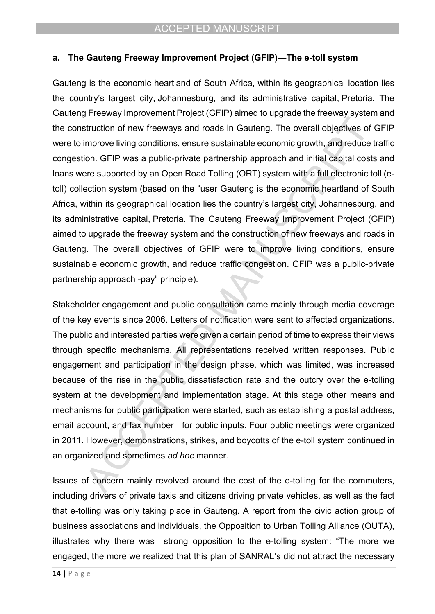## **a. The Gauteng Freeway Improvement Project (GFIP)—The e-toll system**

Gauteng is the economic heartland of South Africa, within its geographical location lies the country's largest city, [Johannesburg](http://en.wikipedia.org/wiki/Johannesburg), and its administrative capital, [Pretoria.](http://en.wikipedia.org/wiki/Pretoria) The Gauteng Freeway Improvement Project (GFIP) aimed to upgrade the freeway system and the construction of new freeways and roads in Gauteng. The overall objectives of GFIP were to improve living conditions, ensure sustainable economic growth, and reduce traffic congestion. GFIP was a public-private partnership approach and initial capital costs and loans were supported by an Open Road Tolling (ORT) system with a full electronic toll (etoll) collection system (based on the "user Gauteng is the economic heartland of South Africa, within its geographical location lies the country's largest city, [Johannesburg,](http://en.wikipedia.org/wiki/Johannesburg) and its administrative capital, [Pretoria](http://en.wikipedia.org/wiki/Pretoria). The Gauteng Freeway Improvement Project (GFIP) aimed to upgrade the freeway system and the construction of new freeways and roads in Gauteng. The overall objectives of GFIP were to improve living conditions, ensure sustainable economic growth, and reduce traffic congestion. GFIP was a public-private partnership approach -pay" principle).

Stakeholder engagement and public consultation came mainly through media coverage of the key events since 2006. Letters of notification were sent to affected organizations. The public and interested parties were given a certain period of time to express their views through specific mechanisms. All representations received written responses. Public engagement and participation in the design phase, which was limited, was increased because of the rise in the public dissatisfaction rate and the outcry over the e-tolling system at the development and implementation stage. At this stage other means and mechanisms for public participation were started, such as establishing a postal address, email account, and fax number for public inputs. Four public meetings were organized in 2011. However, demonstrations, strikes, and boycotts of the e-toll system continued in an organized and sometimes *ad hoc* manner.

Issues of concern mainly revolved around the cost of the e-tolling for the commuters, including drivers of private taxis and citizens driving private vehicles, as well as the fact that e-tolling was only taking place in Gauteng. A report from the civic action group of business associations and individuals, the Opposition to Urban Tolling Alliance (OUTA), illustrates why there was strong opposition to the e-tolling system: "The more we engaged, the more we realized that this plan of SANRAL's did not attract the necessary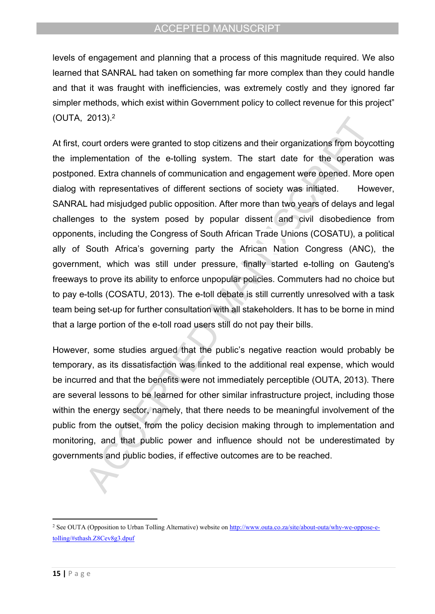levels of engagement and planning that a process of this magnitude required. We also learned that SANRAL had taken on something far more complex than they could handle and that it was fraught with inefficiencies, was extremely costly and they ignored far simpler methods, which exist within Government policy to collect revenue for this project" (OUTA, 2013).<sup>2</sup>

At first, court orders were granted to stop citizens and their organizations from boycotting the implementation of the e-tolling system. The start date for the operation was postponed. Extra channels of communication and engagement were opened. More open dialog with representatives of different sections of society was initiated. However, SANRAL had misjudged public opposition. After more than two years of delays and legal challenges to the system posed by popular dissent and civil disobedience from opponents, including the Congress of South African Trade Unions (COSATU), a political ally of South Africa's governing party the African Nation Congress (ANC), the government, which was still under pressure, finally started e-tolling on Gauteng's freeways to prove its ability to enforce unpopular policies. Commuters had no choice but to pay e-tolls (COSATU, 2013). The e-toll debate is still currently unresolved with a task team being set-up for further consultation with all stakeholders. It has to be borne in mind that a large portion of the e-toll road users still do not pay their bills.

However, some studies argued that the public's negative reaction would probably be temporary, as its dissatisfaction was linked to the additional real expense, which would be incurred and that the benefits were not immediately perceptible (OUTA, 2013). There are several lessons to be learned for other similar infrastructure project, including those within the energy sector, namely, that there needs to be meaningful involvement of the public from the outset, from the policy decision making through to implementation and monitoring, and that public power and influence should not be underestimated by governments and public bodies, if effective outcomes are to be reached.

<sup>&</sup>lt;sup>2</sup> See OUTA (Opposition to Urban Tolling Alternative) website on [http://www.outa.co.za/site/about-outa/why-we-oppose-e](http://www.outa.co.za/site/%20about-outa/why-we-oppose-e-tolling/#sthash.Z8Cev8g3.dpuf)[tolling/#sthash.Z8Cev8g3.dpuf](http://www.outa.co.za/site/%20about-outa/why-we-oppose-e-tolling/#sthash.Z8Cev8g3.dpuf)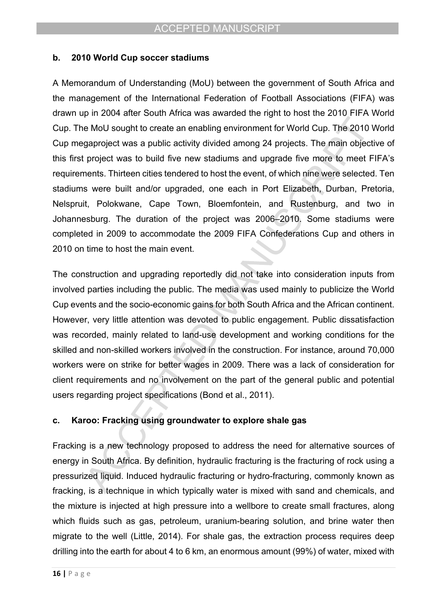#### **b. 2010 World Cup soccer stadiums**

A Memorandum of Understanding (MoU) between the government of South Africa and the management of the International Federation of Football Associations (FIFA) was drawn up in 2004 after South Africa was awarded the right to host the 2010 FIFA World Cup. The MoU sought to create an enabling environment for World Cup. The 2010 World Cup megaproject was a public activity divided among 24 projects. The main objective of this first project was to build five new stadiums and upgrade five more to meet FIFA's requirements. Thirteen cities tendered to host the event, of which nine were selected. Ten stadiums were built and/or upgraded, one each in Port Elizabeth, Durban, Pretoria, Nelspruit, Polokwane, Cape Town, Bloemfontein, and Rustenburg, and two in Johannesburg. The duration of the project was 2006–2010. Some stadiums were completed in 2009 to accommodate the 2009 FIFA Confederations Cup and others in 2010 on time to host the main event.

The construction and upgrading reportedly did not take into consideration inputs from involved parties including the public. The media was used mainly to publicize the World Cup events and the socio-economic gains for both South Africa and the African continent. However, very little attention was devoted to public engagement. Public dissatisfaction was recorded, mainly related to land-use development and working conditions for the skilled and non-skilled workers involved in the construction. For instance, around 70,000 workers were on strike for better wages in 2009. There was a lack of consideration for client requirements and no involvement on the part of the general public and potential users regarding project specifications (Bond et al., 2011).

#### **c. Karoo: Fracking using groundwater to explore shale gas**

Fracking is a new technology proposed to address the need for alternative sources of energy in South Africa. By definition, hydraulic fracturing is the fracturing of rock using a pressurized liquid. Induced hydraulic fracturing or hydro-fracturing, commonly known as fracking, is a technique in which typically water is mixed with sand and chemicals, and the mixture is injected at high pressure into a [wellbore](http://en.wikipedia.org/wiki/Wellbore) to create small fractures, along which fluids such as gas, [petroleum](http://en.wikipedia.org/wiki/Petroleum), [uranium](http://en.wikipedia.org/wiki/Uranium)-bearing solution, and brine water then migrate to the well (Little, 2014). For shale gas, the extraction process requires deep drilling into the earth for about 4 to 6 km, an enormous amount (99%) of water, mixed with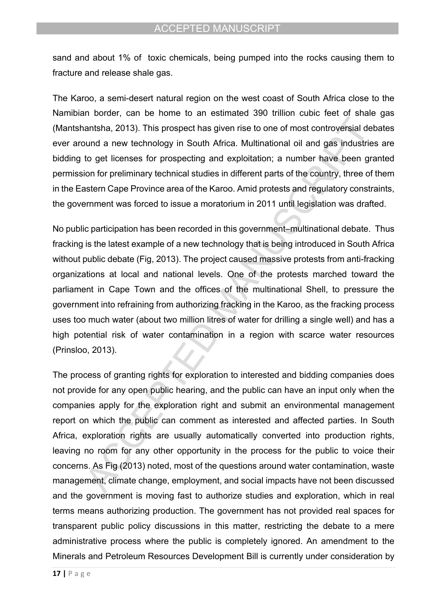sand and about 1% of toxic chemicals, being pumped into the rocks causing them to fracture and release shale gas.

The Karoo, a semi-desert natural region on the west coast of South Africa close to the Namibian border, can be home to an estimated 390 trillion cubic feet of shale gas (Mantshantsha, 2013). This prospect has given rise to one of most controversial debates ever around a new technology in South Africa. Multinational oil and gas industries are bidding to get licenses for prospecting and exploitation; a number have been granted permission for preliminary technical studies in different parts of the country, three of them in the Eastern Cape Province area of the Karoo. Amid protests and regulatory constraints, the government was forced to issue a moratorium in 2011 until legislation was drafted.

No public participation has been recorded in this government–multinational debate. Thus fracking is the latest example of a new technology that is being introduced in South Africa without public debate (Fig, 2013). The project caused massive protests from anti-fracking organizations at local and national levels. One of the protests marched toward the parliament in Cape Town and the offices of the multinational Shell, to pressure the government into refraining from authorizing fracking in the Karoo, as the fracking process uses too much water (about two million litres of water for drilling a single well) and has a high potential risk of water contamination in a region with scarce water resources (Prinsloo, 2013).

The process of granting rights for exploration to interested and bidding companies does not provide for any open public hearing, and the public can have an input only when the companies apply for the exploration right and submit an environmental management report on which the public can comment as interested and affected parties. In South Africa, exploration rights are usually automatically converted into production rights, leaving no room for any other opportunity in the process for the public to voice their concerns. As Fig (2013) noted, most of the questions around water contamination, waste management, climate change, employment, and social impacts have not been discussed and the government is moving fast to authorize studies and exploration, which in real terms means authorizing production. The government has not provided real spaces for transparent public policy discussions in this matter, restricting the debate to a mere administrative process where the public is completely ignored. An amendment to the Minerals and Petroleum Resources Development Bill is currently under consideration by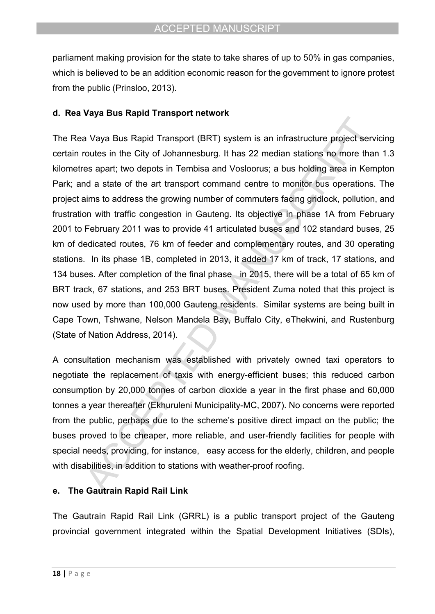parliament making provision for the state to take shares of up to 50% in gas companies, which is believed to be an addition economic reason for the government to ignore protest from the public (Prinsloo, 2013).

#### **d. Rea Vaya Bus Rapid Transport network**

The Rea Vaya Bus Rapid Transport (BRT) system is an infrastructure project servicing certain routes in the City of Johannesburg. It has 22 median stations no more than 1.3 kilometres apart; two depots in Tembisa and Vosloorus; a bus holding area in Kempton Park; and a state of the art transport command centre to monitor bus operations. The project aims to address the growing number of commuters facing gridlock, pollution, and frustration with traffic congestion in Gauteng. Its objective in phase 1A from February 2001 to February 2011 was to provide 41 articulated buses and 102 standard buses, 25 km of dedicated routes, 76 km of feeder and complementary routes, and 30 operating stations. In its phase 1B, completed in 2013, it added 17 km of track, 17 stations, and 134 buses. After completion of the final phase in 2015, there will be a total of 65 km of BRT track, 67 stations, and 253 BRT buses. President Zuma noted that this project is now used by more than 100,000 Gauteng residents. Similar systems are being built in Cape Town, Tshwane, Nelson Mandela Bay, Buffalo City, eThekwini, and Rustenburg (State of Nation Address, 2014).

A consultation mechanism was established with privately owned taxi operators to negotiate the replacement of taxis with energy-efficient buses; this reduced carbon consumption by 20,000 tonnes of carbon dioxide a year in the first phase and 60,000 tonnes a year thereafter (Ekhuruleni Municipality-MC, 2007). No concerns were reported from the public, perhaps due to the scheme's positive direct impact on the public; the buses proved to be cheaper, more reliable, and user-friendly facilities for people with special needs, providing, for instance, easy access for the elderly, children, and people with disabilities, in addition to stations with weather-proof roofing.

#### **e. The Gautrain Rapid Rail Link**

The Gautrain Rapid Rail Link (GRRL) is a public transport project of the Gauteng provincial government integrated within the Spatial Development Initiatives (SDIs),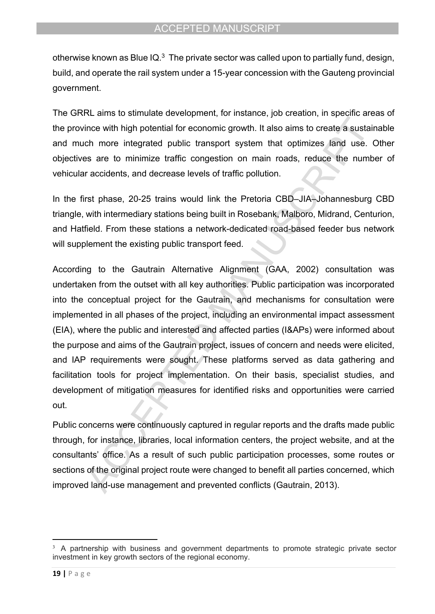otherwise known as Blue IQ. $3$  The private sector was called upon to partially fund, design, build, and operate the rail system under a 15-year concession with the Gauteng provincial government.

The GRRL aims to stimulate development, for instance, job creation, in specific areas of the province with high potential for economic growth. It also aims to create a sustainable and much more integrated public transport system that optimizes land use. Other objectives are to minimize traffic congestion on main roads, reduce the number of vehicular accidents, and decrease levels of traffic pollution.

In the first phase, 20-25 trains would link the Pretoria CBD–JIA–Johannesburg CBD triangle, with intermediary stations being built in Rosebank, Malboro, Midrand, Centurion, and Hatfield. From these stations a network-dedicated road-based feeder bus network will supplement the existing public transport feed.

According to the Gautrain Alternative Alignment (GAA, 2002) consultation was undertaken from the outset with all key authorities. Public participation was incorporated into the conceptual project for the Gautrain, and mechanisms for consultation were implemented in all phases of the project, including an environmental impact assessment (EIA), where the public and interested and affected parties (I&APs) were informed about the purpose and aims of the Gautrain project, issues of concern and needs were elicited, and IAP requirements were sought. These platforms served as data gathering and facilitation tools for project implementation. On their basis, specialist studies, and development of mitigation measures for identified risks and opportunities were carried out.

Public concerns were continuously captured in regular reports and the drafts made public through, for instance, libraries, local information centers, the project website, and at the consultants' office. As a result of such public participation processes, some routes or sections of the original project route were changed to benefit all parties concerned, which improved land-use management and prevented conflicts (Gautrain, 2013).

<sup>&</sup>lt;sup>3</sup> A partnership with business and government departments to promote strategic private sector investment in key growth sectors of the regional economy.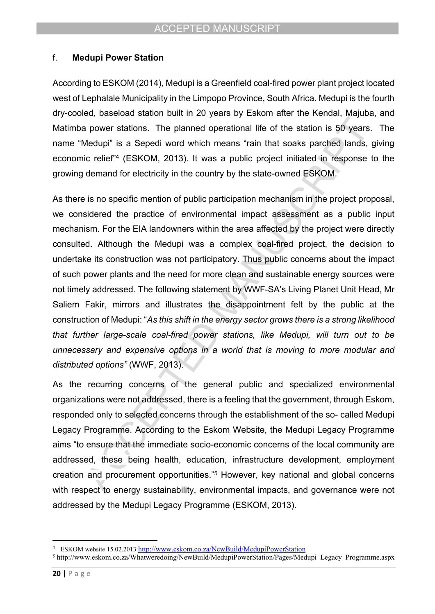## f. **Medupi Power Station**

According to ESKOM (2014), Medupi is a Greenfield coal-fired power plant project located west of Lephalale Municipality in the Limpopo Province, South Africa. Medupi is the fourth dry-cooled, baseload station built in 20 years by Eskom after the Kendal, Majuba, and Matimba power stations. The planned operational life of the station is 50 years. The name "Medupi" is a Sepedi word which means "rain that soaks parched lands, giving economic relief"<sup>4</sup> (ESKOM, 2013). It was a public project initiated in response to the growing demand for electricity in the country by the state-owned ESKOM.

As there is no specific mention of public participation mechanism in the project proposal, we considered the practice of environmental impact assessment as a public input mechanism. For the EIA landowners within the area affected by the project were directly consulted. Although the Medupi was a complex coal-fired project, the decision to undertake its construction was not participatory. Thus public concerns about the impact of such power plants and the need for more clean and sustainable energy sources were not timely addressed. The following statement by WWF-SA's Living Planet Unit Head, Mr Saliem Fakir, mirrors and illustrates the disappointment felt by the public at the construction of Medupi: "*As this shift in the energy sector grows there is a strong likelihood that further large-scale coal-fired power stations, like Medupi, will turn out to be unnecessary and expensive options in a world that is moving to more modular and distributed options"* (WWF, 2013).

As the recurring concerns of the general public and specialized environmental organizations were not addressed, there is a feeling that the government, through Eskom, responded only to selected concerns through the establishment of the so- called Medupi Legacy Programme. According to the Eskom Website, the Medupi Legacy Programme aims "to ensure that the immediate socio-economic concerns of the local community are addressed, these being health, education, infrastructure development, employment creation and procurement opportunities."<sup>5</sup> However, key national and global concerns with respect to energy sustainability, environmental impacts, and governance were not addressed by the Medupi Legacy Programme (ESKOM, 2013).

<sup>&</sup>lt;sup>4</sup> ESKOM website 15.02.2013 <http://www.eskom.co.za/NewBuild/MedupiPowerStation>

<sup>5</sup> http://www.eskom.co.za/Whatweredoing/NewBuild/MedupiPowerStation/Pages/Medupi\_Legacy\_Programme.aspx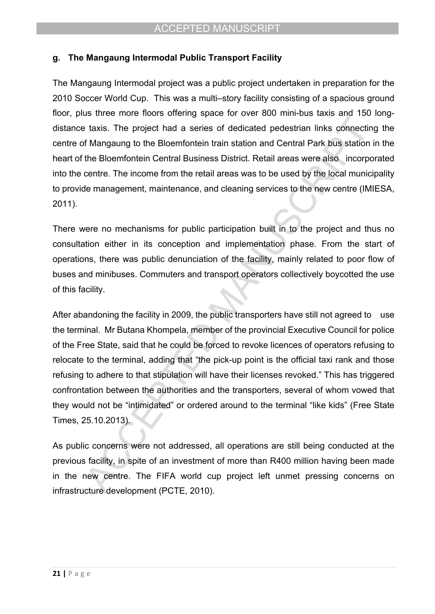## **g. The Mangaung Intermodal Public Transport Facility**

The Mangaung Intermodal project was a public project undertaken in preparation for the 2010 Soccer World Cup. This was a multi–story facility consisting of a spacious ground floor, plus three more floors offering space for over 800 mini-bus taxis and 150 longdistance taxis. The project had a series of dedicated pedestrian links connecting the centre of Mangaung to the Bloemfontein train station and Central Park bus station in the heart of the Bloemfontein Central Business District. Retail areas were also incorporated into the centre. The income from the retail areas was to be used by the local municipality to provide management, maintenance, and cleaning services to the new centre (IMIESA, 2011).

There were no mechanisms for public participation built in to the project and thus no consultation either in its conception and implementation phase. From the start of operations, there was public denunciation of the facility, mainly related to poor flow of buses and minibuses. Commuters and transport operators collectively boycotted the use of this facility.

After abandoning the facility in 2009, the public transporters have still not agreed to use the terminal. Mr Butana Khompela, member of the provincial Executive Council for police of the Free State, said that he could be forced to revoke licences of operators refusing to relocate to the terminal, adding that "the pick-up point is the official taxi rank and those refusing to adhere to that stipulation will have their licenses revoked." This has triggered confrontation between the authorities and the transporters, several of whom vowed that they would not be "intimidated" or ordered around to the terminal "like kids" (Free State Times, 25.10.2013).

As public concerns were not addressed, all operations are still being conducted at the previous facility, in spite of an investment of more than R400 million having been made in the new centre. The FIFA world cup project left unmet pressing concerns on infrastructure development (PCTE, 2010).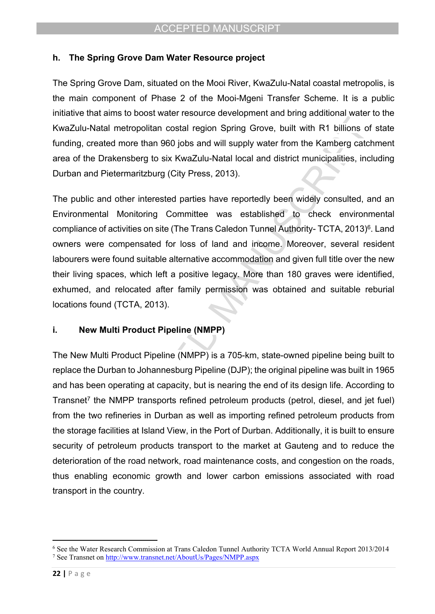## **h. The Spring Grove Dam Water Resource project**

The Spring Grove Dam, situated on the Mooi River, KwaZulu-Natal coastal metropolis, is the main component of Phase 2 of the Mooi-Mgeni Transfer Scheme. It is a public initiative that aims to boost water resource development and bring additional water to the KwaZulu-Natal metropolitan costal region Spring Grove, built with R1 billions of state funding, created more than 960 jobs and will supply water from the Kamberg catchment area of the Drakensberg to six KwaZulu-Natal local and district municipalities, including Durban and Pietermaritzburg (City Press, 2013).

The public and other interested parties have reportedly been widely consulted, and an Environmental Monitoring Committee was established to check environmental compliance of activities on site (The Trans Caledon Tunnel Authority- TCTA, 2013)<sup>6</sup>. Land owners were compensated for loss of land and income. Moreover, several resident labourers were found suitable alternative accommodation and given full title over the new their living spaces, which left a positive legacy. More than 180 graves were identified, exhumed, and relocated after family permission was obtained and suitable reburial locations found (TCTA, 2013).

#### **i. New Multi Product Pipeline (NMPP)**

The New Multi Product Pipeline (NMPP) is a 705-km, state-owned pipeline being built to replace the Durban to Johannesburg Pipeline (DJP); the original pipeline was built in 1965 and has been operating at capacity, but is nearing the end of its design life. According to Transnet<sup>7</sup> the NMPP transports refined petroleum products (petrol, diesel, and jet fuel) from the two refineries in Durban as well as importing refined petroleum products from the storage facilities at Island View, in the Port of Durban. Additionally, it is built to ensure security of petroleum products transport to the market at Gauteng and to reduce the deterioration of the road network, road maintenance costs, and congestion on the roads, thus enabling economic growth and lower carbon emissions associated with road transport in the country.

<sup>6</sup> See the Water Research Commission at Trans Caledon Tunnel Authority TCTA World Annual Report 2013/2014 <sup>7</sup> See Transnet on <http://www.transnet.net/AboutUs/Pages/NMPP.aspx>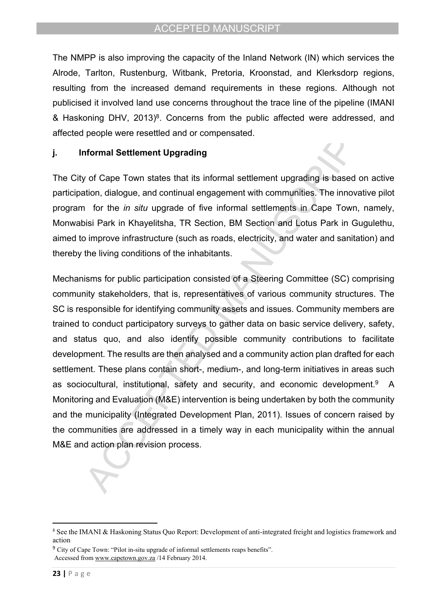The NMPP is also improving the capacity of the Inland Network (IN) which services the Alrode, Tarlton, Rustenburg, Witbank, Pretoria, Kroonstad, and Klerksdorp regions, resulting from the increased demand requirements in these regions. Although not publicised it involved land use concerns throughout the trace line of the pipeline (IMANI & Haskoning DHV, 2013)<sup>8</sup>. Concerns from the public affected were addressed, and affected people were resettled and or compensated.

#### **j. Informal Settlement Upgrading**

The City of Cape Town states that its informal settlement upgrading is based on active participation, dialogue, and continual engagement with communities. The innovative pilot program for the *in situ* upgrade of five informal settlements in Cape Town, namely, Monwabisi Park in Khayelitsha, TR Section, BM Section and Lotus Park in Gugulethu, aimed to improve infrastructure (such as roads, electricity, and water and sanitation) and thereby the living conditions of the inhabitants.

Mechanisms for public participation consisted of a Steering Committee (SC) comprising community stakeholders, that is, representatives of various community structures. The SC is responsible for identifying community assets and issues. Community members are trained to conduct participatory surveys to gather data on basic service delivery, safety, and status quo, and also identify possible community contributions to facilitate development. The results are then analysed and a community action plan drafted for each settlement. These plans contain short-, medium-, and long-term initiatives in areas such as sociocultural, institutional, safety and security, and economic development.<sup>9</sup> A Monitoring and Evaluation (M&E) intervention is being undertaken by both the community and the municipality (Integrated Development Plan, 2011). Issues of concern raised by the communities are addressed in a timely way in each municipality within the annual M&E and action plan revision process.

<sup>8</sup> See the IMANI & Haskoning Status Quo Report: Development of anti-integrated freight and logistics framework and action

<sup>9</sup> City of Cape Town: "Pilot in-situ upgrade of informal settlements reaps benefits". Accessed from [www.capetown.gov.za](http://www.capetown.gov.za) /14 February 2014.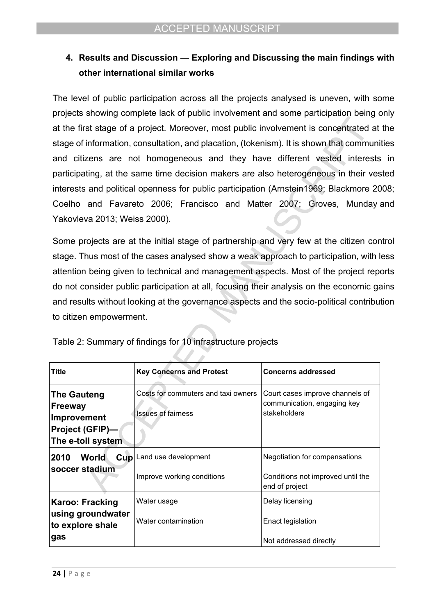## **4. Results and Discussion — Exploring and Discussing the main findings with other international similar works**

The level of public participation across all the projects analysed is uneven, with some projects showing complete lack of public involvement and some participation being only at the first stage of a project. Moreover, most public involvement is concentrated at the stage of information, consultation, and placation, (tokenism). It is shown that communities and citizens are not homogeneous and they have different vested interests in participating, at the same time decision makers are also heterogeneous in their vested interests and political openness for public participation (Arnstein1969; Blackmore 2008; Coelho and Favareto 2006; Francisco and Matter 2007; Groves, Munday and Yakovleva 2013; Weiss 2000).

Some projects are at the initial stage of partnership and very few at the citizen control stage. Thus most of the cases analysed show a weak approach to participation, with less attention being given to technical and management aspects. Most of the project reports do not consider public participation at all, focusing their analysis on the economic gains and results without looking at the governance aspects and the socio-political contribution to citizen empowerment.

| <b>Title</b>                                                                  | <b>Key Concerns and Protest</b>                                  | <b>Concerns addressed</b>                                                            |
|-------------------------------------------------------------------------------|------------------------------------------------------------------|--------------------------------------------------------------------------------------|
| The Gauteng<br>Freeway<br>Improvement<br>Project (GFIP)—<br>The e-toll system | Costs for commuters and taxi owners<br><b>Issues of fairness</b> | Court cases improve channels of<br>communication, engaging key<br>stakeholders       |
| 2010<br>World<br>soccer stadium                                               | Cup Land use development<br>Improve working conditions           | Negotiation for compensations<br>Conditions not improved until the<br>end of project |
| Karoo: Fracking <br>using groundwater<br>to explore shale<br>gas              | Water usage<br>Water contamination                               | Delay licensing<br>Enact legislation<br>Not addressed directly                       |

Table 2: Summary of findings for 10 infrastructure projects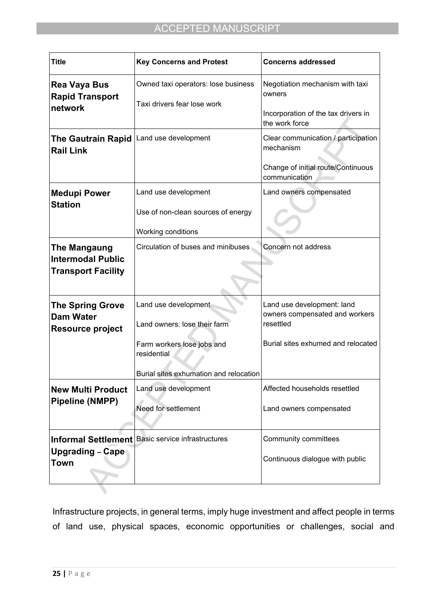| <b>Title</b>                                                          | <b>Key Concerns and Protest</b>                                                                                                             | <b>Concerns addressed</b>                                                                                       |
|-----------------------------------------------------------------------|---------------------------------------------------------------------------------------------------------------------------------------------|-----------------------------------------------------------------------------------------------------------------|
| <b>Rea Vaya Bus</b><br><b>Rapid Transport</b><br>network              | Owned taxi operators: lose business<br>Taxi drivers fear lose work                                                                          | Negotiation mechanism with taxi<br>owners<br>Incorporation of the tax drivers in<br>the work force              |
| <b>The Gautrain Rapid</b><br><b>Rail Link</b>                         | Land use development                                                                                                                        | Clear communication / participation<br>mechanism<br>Change of initial route/Continuous<br>communication         |
| <b>Medupi Power</b><br><b>Station</b>                                 | Land use development<br>Use of non-clean sources of energy<br>Working conditions                                                            | Land owners compensated                                                                                         |
| The Mangaung<br><b>Intermodal Public</b><br><b>Transport Facility</b> | Circulation of buses and minibuses                                                                                                          | Concern not address                                                                                             |
| <b>The Spring Grove</b><br><b>Dam Water</b><br>Resource project       | Land use development<br>Land owners: lose their farm<br>Farm workers lose jobs and<br>residential<br>Burial sites exhumation and relocation | Land use development: land<br>owners compensated and workers<br>resettled<br>Burial sites exhumed and relocated |
| <b>New Multi Product</b><br><b>Pipeline (NMPP)</b>                    | Land use development<br>Need for settlement                                                                                                 | Affected households resettled<br>Land owners compensated                                                        |
| <b>Upgrading - Cape</b><br>Town                                       | Informal Settlement   Basic service infrastructures                                                                                         | Community committees<br>Continuous dialogue with public                                                         |

Infrastructure projects, in general terms, imply huge investment and affect people in terms of land use, physical spaces, economic opportunities or challenges, social and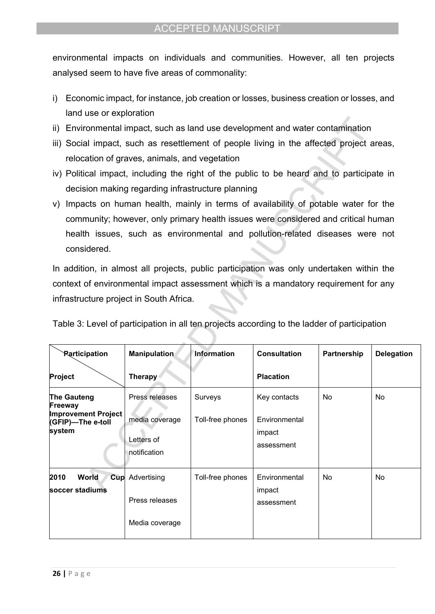environmental impacts on individuals and communities. However, all ten projects analysed seem to have five areas of commonality:

- i) Economic impact, for instance, job creation or losses, business creation or losses, and land use or exploration
- ii) Environmental impact, such as land use development and water contamination
- iii) Social impact, such as resettlement of people living in the affected project areas, relocation of graves, animals, and vegetation
- iv) Political impact, including the right of the public to be heard and to participate in decision making regarding infrastructure planning
- v) Impacts on human health, mainly in terms of availability of potable water for the community; however, only primary health issues were considered and critical human health issues, such as environmental and pollution-related diseases were not considered.

In addition, in almost all projects, public participation was only undertaken within the context of environmental impact assessment which is a mandatory requirement for any infrastructure project in South Africa.

| Table 3: Level of participation in all ten projects according to the ladder of participation |  |  |  |  |
|----------------------------------------------------------------------------------------------|--|--|--|--|
|----------------------------------------------------------------------------------------------|--|--|--|--|

| <b>Participation</b>                                                                       | Manipulation                                                   | <b>Information</b>          | <b>Consultation</b>                                   | Partnership | <b>Delegation</b> |
|--------------------------------------------------------------------------------------------|----------------------------------------------------------------|-----------------------------|-------------------------------------------------------|-------------|-------------------|
| Project                                                                                    | Therapy                                                        |                             | <b>Placation</b>                                      |             |                   |
| <b>The Gauteng</b><br>Freeway<br><b>Improvement Project</b><br>(GFIP)-The e-toll<br>system | Press releases<br>media coverage<br>Letters of<br>notification | Surveys<br>Toll-free phones | Key contacts<br>Environmental<br>impact<br>assessment | No          | No                |
| 2010<br>World<br>Cup<br>soccer stadiums                                                    | Advertising<br>Press releases<br>Media coverage                | Toll-free phones            | Environmental<br>impact<br>assessment                 | <b>No</b>   | <b>No</b>         |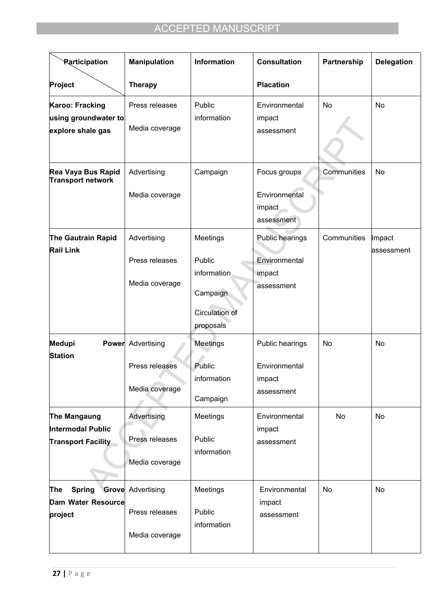| <b>Rarticipation</b>                                           | <b>Manipulation</b>                                          | <b>Information</b>                                                           | <b>Consultation</b>                                      | Partnership | <b>Delegation</b>    |
|----------------------------------------------------------------|--------------------------------------------------------------|------------------------------------------------------------------------------|----------------------------------------------------------|-------------|----------------------|
| Project                                                        | <b>Therapy</b>                                               |                                                                              | <b>Placation</b>                                         |             |                      |
| Karoo: Fracking<br>using groundwater to<br>explore shale gas   | Press releases<br>Media coverage                             | Public<br>information                                                        | Environmental<br>impact<br>assessment                    | No          | No                   |
| Rea Vaya Bus Rapid<br>Transport network                        | Advertising<br>Media coverage                                | Campaign                                                                     | Focus groups<br>Environmental<br>impact<br>assessment    | Communities | No                   |
| <b>The Gautrain Rapid</b><br><b>Rail Link</b>                  | Advertising<br>Press releases<br>Media coverage              | Meetings<br>Public<br>information<br>Campaign<br>Circulation of<br>proposals | Public hearings<br>Environmental<br>impact<br>assessment | Communities | Impact<br>assessment |
| Medupi<br><b>Station</b>                                       | <b>Power</b> Advertising<br>Press releases<br>Media coverage | <b>Meetings</b><br>Public<br>information<br>Campaign                         | Public hearings<br>Environmental<br>impact<br>assessment | No          | No                   |
| The Mangaung<br>Intermodal Public<br><b>Transport Facility</b> | Advertising<br>Press releases<br>Media coverage              | Meetings<br>Public<br>information                                            | Environmental<br>impact<br>assessment                    | No          | No                   |
| <b>Spring</b><br>The<br>Dam Water Resource<br>project          | <b>Grove</b> Advertising<br>Press releases<br>Media coverage | <b>Meetings</b><br>Public<br>information                                     | Environmental<br>impact<br>assessment                    | No          | No                   |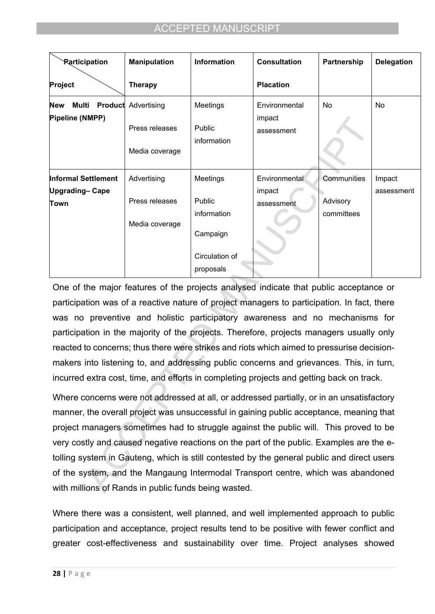| <b>Rarticipation</b>       | <b>Manipulation</b>        | <b>Information</b>    | <b>Consultation</b>  | Partnership | <b>Delegation</b> |
|----------------------------|----------------------------|-----------------------|----------------------|-------------|-------------------|
| Project                    | <b>Therapy</b>             |                       | <b>Placation</b>     |             |                   |
| <b>New</b><br>Multi        | <b>Product</b> Advertising | Meetings              | Environmental        | No          | No                |
| Pipeline (NMPP)            | Press releases             | Public<br>information | impact<br>assessment |             |                   |
|                            | Media coverage             |                       |                      |             |                   |
| <b>Informal Settlement</b> | Advertising                | Meetings              | Environmental        | Communities | Impact            |
| Upgrading-Cape             |                            |                       | impact               |             | assessment        |
| Town                       | Press releases             | Public                | assessment           | Advisory    |                   |
|                            | Media coverage             | information           |                      | committees  |                   |
|                            |                            | Campaign              |                      |             |                   |
|                            |                            | Circulation of        |                      |             |                   |
|                            |                            | proposals             |                      |             |                   |

One of the major features of the projects analysed indicate that public acceptance or participation was of a reactive nature of project managers to participation. In fact, there was no preventive and holistic participatory awareness and no mechanisms for participation in the majority of the projects. Therefore, projects managers usually only reacted to concerns; thus there were strikes and riots which aimed to pressurise decisionmakers into listening to, and addressing public concerns and grievances. This, in turn, incurred extra cost, time, and efforts in completing projects and getting back on track.

Where concerns were not addressed at all, or addressed partially, or in an unsatisfactory manner, the overall project was unsuccessful in gaining public acceptance, meaning that project managers sometimes had to struggle against the public will. This proved to be very costly and caused negative reactions on the part of the public. Examples are the etolling system in Gauteng, which is still contested by the general public and direct users of the system, and the Mangaung Intermodal Transport centre, which was abandoned with millions of Rands in public funds being wasted.

Where there was a consistent, well planned, and well implemented approach to public participation and acceptance, project results tend to be positive with fewer conflict and greater cost-effectiveness and sustainability over time. Project analyses showed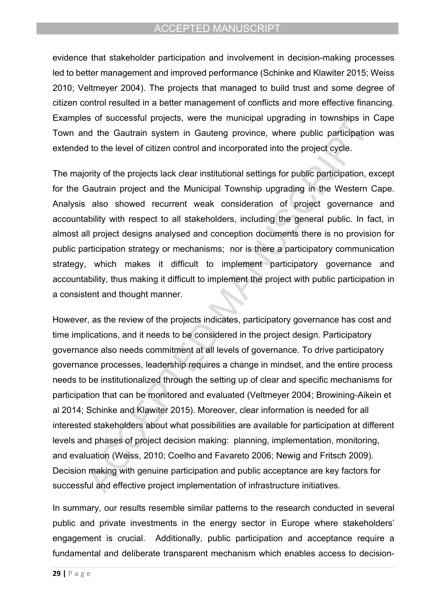evidence that stakeholder participation and involvement in decision-making processes led to better management and improved performance (Schinke and Klawiter 2015; Weiss 2010; Veltmeyer 2004). The projects that managed to build trust and some degree of citizen control resulted in a better management of conflicts and more effective financing. Examples of successful projects, were the municipal upgrading in townships in Cape Town and the Gautrain system in Gauteng province, where public participation was extended to the level of citizen control and incorporated into the project cycle.

The majority of the projects lack clear institutional settings for public participation, except for the Gautrain project and the Municipal Township upgrading in the Western Cape. Analysis also showed recurrent weak consideration of project governance and accountability with respect to all stakeholders, including the general public. In fact, in almost all project designs analysed and conception documents there is no provision for public participation strategy or mechanisms; nor is there a participatory communication strategy, which makes it difficult to implement participatory governance and accountability, thus making it difficult to implement the project with public participation in a consistent and thought manner.

However, as the review of the projects indicates, participatory governance has cost and time implications, and it needs to be considered in the project design. Participatory governance also needs commitment at all levels of governance. To drive participatory governance processes, leadership requires a change in mindset, and the entire process needs to be institutionalized through the setting up of clear and specific mechanisms for participation that can be monitored and evaluated (Veltmeyer 2004; Browining-Aikein et al 2014; Schinke and Klawiter 2015). Moreover, clear information is needed for all interested stakeholders about what possibilities are available for participation at different levels and phases of project decision making: planning, implementation, monitoring, and evaluation (Weiss, 2010; Coelho and Favareto 2006; Newig and Fritsch 2009). Decision making with genuine participation and public acceptance are key factors for successful and effective project implementation of infrastructure initiatives.

In summary, our results resemble similar patterns to the research conducted in several public and private investments in the energy sector in Europe where stakeholders' engagement is crucial. Additionally, public participation and acceptance require a fundamental and deliberate transparent mechanism which enables access to decision-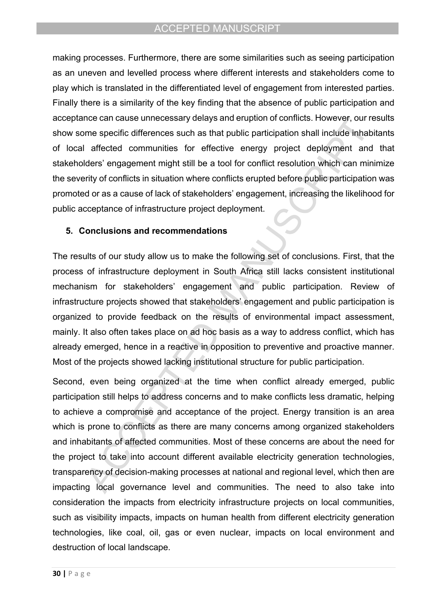making processes. Furthermore, there are some similarities such as seeing participation as an uneven and levelled process where different interests and stakeholders come to play which is translated in the differentiated level of engagement from interested parties. Finally there is a similarity of the key finding that the absence of public participation and acceptance can cause unnecessary delays and eruption of conflicts. However, our results show some specific differences such as that public participation shall include inhabitants of local affected communities for effective energy project deployment and that stakeholders' engagement might still be a tool for conflict resolution which can minimize the severity of conflicts in situation where conflicts erupted before public participation was promoted or as a cause of lack of stakeholders' engagement, increasing the likelihood for public acceptance of infrastructure project deployment.

### **5. Conclusions and recommendations**

The results of our study allow us to make the following set of conclusions. First, that the process of infrastructure deployment in South Africa still lacks consistent institutional mechanism for stakeholders' engagement and public participation. Review of infrastructure projects showed that stakeholders' engagement and public participation is organized to provide feedback on the results of environmental impact assessment, mainly. It also often takes place on ad hoc basis as a way to address conflict, which has already emerged, hence in a reactive in opposition to preventive and proactive manner. Most of the projects showed lacking institutional structure for public participation.

Second, even being organized at the time when conflict already emerged, public participation still helps to address concerns and to make conflicts less dramatic, helping to achieve a compromise and acceptance of the project. Energy transition is an area which is prone to conflicts as there are many concerns among organized stakeholders and inhabitants of affected communities. Most of these concerns are about the need for the project to take into account different available electricity generation technologies, transparency of decision-making processes at national and regional level, which then are impacting local governance level and communities. The need to also take into consideration the impacts from electricity infrastructure projects on local communities, such as visibility impacts, impacts on human health from different electricity generation technologies, like coal, oil, gas or even nuclear, impacts on local environment and destruction of local landscape.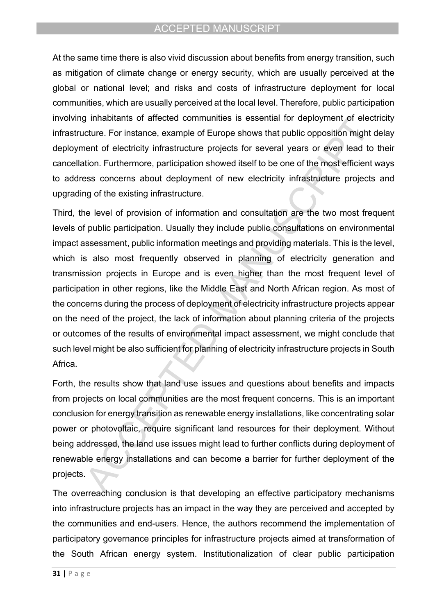At the same time there is also vivid discussion about benefits from energy transition, such as mitigation of climate change or energy security, which are usually perceived at the global or national level; and risks and costs of infrastructure deployment for local communities, which are usually perceived at the local level. Therefore, public participation involving inhabitants of affected communities is essential for deployment of electricity infrastructure. For instance, example of Europe shows that public opposition might delay deployment of electricity infrastructure projects for several years or even lead to their cancellation. Furthermore, participation showed itself to be one of the most efficient ways to address concerns about deployment of new electricity infrastructure projects and upgrading of the existing infrastructure.

Third, the level of provision of information and consultation are the two most frequent levels of public participation. Usually they include public consultations on environmental impact assessment, public information meetings and providing materials. This is the level, which is also most frequently observed in planning of electricity generation and transmission projects in Europe and is even higher than the most frequent level of participation in other regions, like the Middle East and North African region. As most of the concerns during the process of deployment of electricity infrastructure projects appear on the need of the project, the lack of information about planning criteria of the projects or outcomes of the results of environmental impact assessment, we might conclude that such level might be also sufficient for planning of electricity infrastructure projects in South Africa.

Forth, the results show that land use issues and questions about benefits and impacts from projects on local communities are the most frequent concerns. This is an important conclusion for energy transition as renewable energy installations, like concentrating solar power or photovoltaic, require significant land resources for their deployment. Without being addressed, the land use issues might lead to further conflicts during deployment of renewable energy installations and can become a barrier for further deployment of the projects.

The overreaching conclusion is that developing an effective participatory mechanisms into infrastructure projects has an impact in the way they are perceived and accepted by the communities and end-users. Hence, the authors recommend the implementation of participatory governance principles for infrastructure projects aimed at transformation of the South African energy system. Institutionalization of clear public participation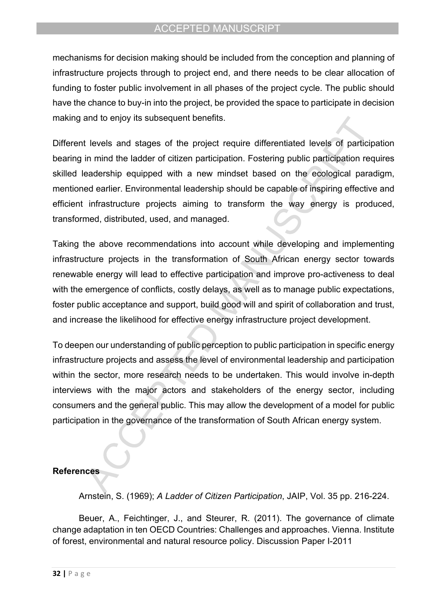mechanisms for decision making should be included from the conception and planning of infrastructure projects through to project end, and there needs to be clear allocation of funding to foster public involvement in all phases of the project cycle. The public should have the chance to buy-in into the project, be provided the space to participate in decision making and to enjoy its subsequent benefits.

Different levels and stages of the project require differentiated levels of participation bearing in mind the ladder of citizen participation. Fostering public participation requires skilled leadership equipped with a new mindset based on the ecological paradigm, mentioned earlier. Environmental leadership should be capable of inspiring effective and efficient infrastructure projects aiming to transform the way energy is produced, transformed, distributed, used, and managed.

Taking the above recommendations into account while developing and implementing infrastructure projects in the transformation of South African energy sector towards renewable energy will lead to effective participation and improve pro-activeness to deal with the emergence of conflicts, costly delays, as well as to manage public expectations, foster public acceptance and support, build good will and spirit of collaboration and trust, and increase the likelihood for effective energy infrastructure project development.

To deepen our understanding of public perception to public participation in specific energy infrastructure projects and assess the level of environmental leadership and participation within the sector, more research needs to be undertaken. This would involve in-depth interviews with the major actors and stakeholders of the energy sector, including consumers and the general public. This may allow the development of a model for public participation in the governance of the transformation of South African energy system.

## **References**

Arnstein, S. (1969); *A Ladder of Citizen Participation*, JAIP, Vol. 35 pp. 216-224.

Beuer, A., Feichtinger, J., and Steurer, R. (2011). The governance of climate change adaptation in ten OECD Countries: Challenges and approaches. Vienna. Institute of forest, environmental and natural resource policy. Discussion Paper I-2011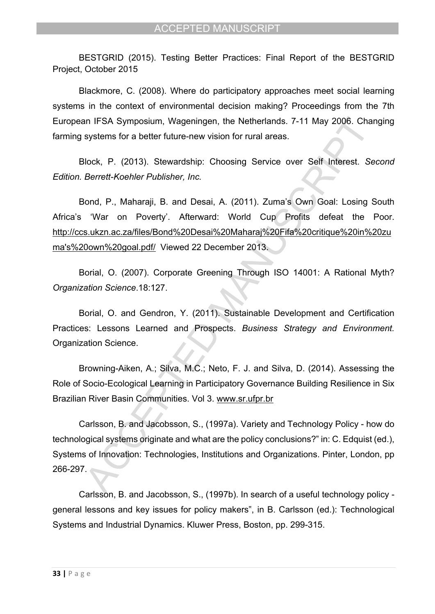BESTGRID (2015). Testing Better Practices: Final Report of the BESTGRID Project, October 2015

Blackmore, C. (2008). Where do participatory approaches meet social learning systems in the context of environmental decision making? Proceedings from the 7th European IFSA Symposium, Wageningen, the Netherlands. 7-11 May 2006. Changing farming systems for a better future-new vision for rural areas.

Block, P. (2013). Stewardship: Choosing Service over Self Interest. *Second Edition. Berrett-Koehler Publisher, Inc.*

Bond, P., Maharaji, B. and Desai, A. (2011). Zuma's Own Goal: Losing South Africa's 'War on Poverty'. Afterward: World Cup Profits defeat the Poor. [http://ccs.ukzn.ac.za/files/Bond%20Desai%20Maharaj%20Fifa%20critique%20in%20zu](http://ccs.ukzn.ac.za/files/Bond%20Desai%20Maharaj%20Fifa%20critique%20in%20zuma) [ma's%20own%20goal.pdf/](http://ccs.ukzn.ac.za/files/Bond%20Desai%20Maharaj%20Fifa%20critique%20in%20zuma) Viewed 22 December 2013.

Borial, O. (2007). Corporate Greening Through ISO 14001: A Rational Myth? *Organization Science*.18:127.

Borial, O. and Gendron, Y. (2011). Sustainable Development and Certification Practices: Lessons Learned and Prospects. *Business Strategy and Environment.* Organization Science.

Browning-Aiken, A.; Silva, M.C.; Neto, F. J. and Silva, D. (2014). Assessing the Role of Socio-Ecological Learning in Participatory Governance Building Resilience in Six Brazilian River Basin Communities. Vol 3. [www.sr.ufpr.br](http://www.sr.ufpr.br)

Carlsson, B. and Jacobsson, S., (1997a). Variety and Technology Policy - how do technological systems originate and what are the policy conclusions?" in: C. Edquist (ed.), Systems of Innovation: Technologies, Institutions and Organizations. Pinter, London, pp 266-297.

Carlsson, B. and Jacobsson, S., (1997b). In search of a useful technology policy general lessons and key issues for policy makers", in B. Carlsson (ed.): Technological Systems and Industrial Dynamics. Kluwer Press, Boston, pp. 299-315.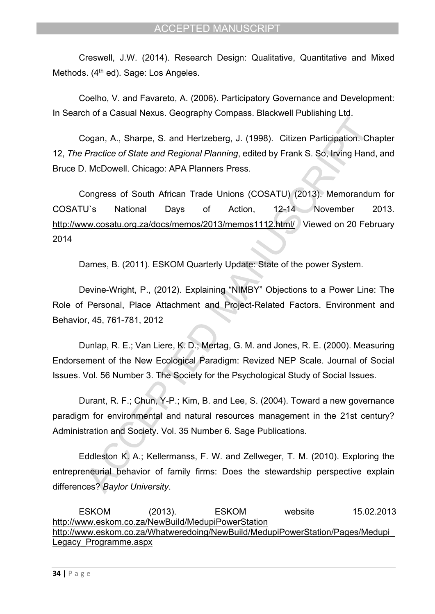Creswell, J.W. (2014). Research Design: Qualitative, Quantitative and Mixed Methods. (4<sup>th</sup> ed). Sage: Los Angeles.

Coelho, V. and Favareto, A. (2006). Participatory Governance and Development: In Search of a Casual Nexus. Geography Compass. Blackwell Publishing Ltd.

Cogan, A., Sharpe, S. and Hertzeberg, J. (1998). Citizen Participation. Chapter 12, *The Practice of State and Regional Planning*, edited by Frank S. So, Irving Hand, and Bruce D. McDowell. Chicago: APA Planners Press.

Congress of South African Trade Unions (COSATU) (2013). Memorandum for COSATU`s National Days of Action, 12-14 November 2013. <http://www.cosatu.org.za/docs/memos/2013/memos1112.html/> Viewed on 20 February 2014

Dames, B. (2011). ESKOM Quarterly Update: State of the power System.

Devine-Wright, P., (2012). Explaining "NIMBY" Objections to a Power Line: The Role of Personal, Place Attachment and Project-Related Factors. Environment and Behavior, 45, 761-781, 2012

Dunlap, R. E.; Van Liere, K. D.; Mertag, G. M. and Jones, R. E. (2000). Measuring Endorsement of the New Ecological Paradigm: Revized NEP Scale. Journal of Social Issues. Vol. 56 Number 3. The Society for the Psychological Study of Social Issues.

Durant, R. F.; Chun, Y-P.; Kim, B. and Lee, S. (2004). Toward a new governance paradigm for environmental and natural resources management in the 21st century? Administration and Society. Vol. 35 Number 6. Sage Publications.

Eddleston K. A.; Kellermanss, F. W. and Zellweger, T. M. (2010). Exploring the entrepreneurial behavior of family firms: Does the stewardship perspective explain differences? *Baylor University*.

ESKOM (2013). ESKOM website 15.02.2013 <http://www.eskom.co.za/NewBuild/MedupiPowerStation> [http://www.eskom.co.za/Whatweredoing/NewBuild/MedupiPowerStation/Pages/Medupi\\_](http://www.eskom.co.za/Whatweredoing/NewBuild/MedupiPowerStation/Pages/Medupi_Legacy_Programme.aspx) [Legacy\\_Programme.aspx](http://www.eskom.co.za/Whatweredoing/NewBuild/MedupiPowerStation/Pages/Medupi_Legacy_Programme.aspx)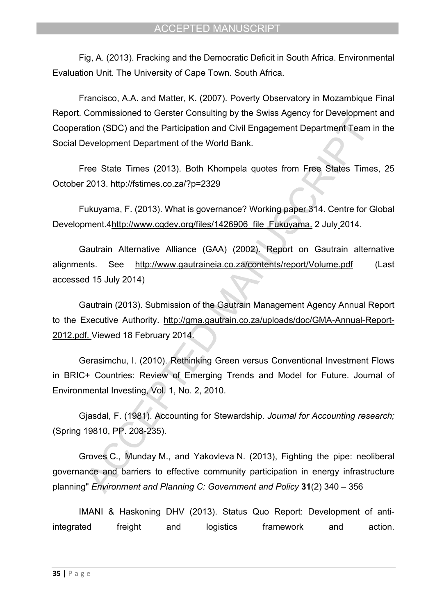Fig, A. (2013). Fracking and the Democratic Deficit in South Africa. Environmental Evaluation Unit. The University of Cape Town. South Africa.

Francisco, A.A. and Matter, K. (2007). Poverty Observatory in Mozambique Final Report. Commissioned to Gerster Consulting by the Swiss Agency for Development and Cooperation (SDC) and the Participation and Civil Engagement Department Team in the Social Development Department of the World Bank.

Free State Times (2013). Both Khompela quotes from Free States Times, 25 October 2013. http://fstimes.co.za/?p=2329

Fukuyama, F. (2013). What is governance? Working paper 314. Centre for Global Development.4[http://www.cgdev.org/files/1426906\\_file\\_Fukuyama. 2 July 2014](http://www.cgdev.org/files/1426906_file_Fukuyama.%20%20%202%20July%202013).

Gautrain Alternative Alliance (GAA) (2002). Report on Gautrain alternative alignments. See <http://www.gautraineia.co.za/contents/report/Volume.pdf> (Last accessed 15 July 2014)

Gautrain (2013). Submission of the Gautrain Management Agency Annual Report to the Executive Authority. [http://gma.gautrain.co.za/uploads/doc/GMA-Annual-Report-](http://gma.gautrain.co.za/uploads/doc/GMA-Annual-Report-2012.pdf.%20Viewed%2018%20February%202014)[2012.pdf. Viewed 18 February 2014.](http://gma.gautrain.co.za/uploads/doc/GMA-Annual-Report-2012.pdf.%20Viewed%2018%20February%202014)

Gerasimchu, I. (2010). Rethinking Green versus Conventional Investment Flows in BRIC+ Countries: Review of Emerging Trends and Model for Future. Journal of Environmental Investing, Vol. 1, No. 2, 2010.

Gjasdal, F. (1981). Accounting for Stewardship. *Journal for Accounting research;*  (Spring 19810, PP. 208-235).

Groves C., Munday M., and Yakovleva N. (2013), Fighting the pipe: neoliberal governance and barriers to effective community participation in energy infrastructure planning" *Environment and Planning C: Government and Policy* **31**(2) 340 – 356

IMANI & Haskoning DHV (2013). Status Quo Report: Development of antiintegrated freight and logistics framework and action.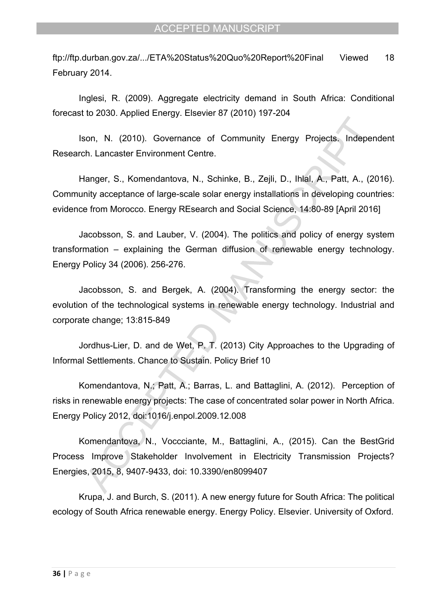<ftp://ftp.durban.gov.za/.../ETA%20Status%20Quo%20Report%20Final>Viewed 18 February 2014.

Inglesi, R. (2009). Aggregate electricity demand in South Africa: Conditional forecast to 2030. Applied Energy. Elsevier 87 (2010) 197-204

Ison, N. (2010). Governance of Community Energy Projects. Independent Research. Lancaster Environment Centre.

Hanger, S., Komendantova, N., Schinke, B., Zejli, D., Ihlal, A., Patt, A., (2016). Community acceptance of large-scale solar energy installations in developing countries: evidence from Morocco. Energy REsearch and Social Science, 14:80-89 [April 2016]

Jacobsson, S. and Lauber, V. (2004). The politics and policy of energy system transformation – explaining the German diffusion of renewable energy technology. Energy Policy 34 (2006). 256-276.

Jacobsson, S. and Bergek, A. (2004). Transforming the energy sector: the evolution of the technological systems in renewable energy technology. Industrial and corporate change; 13:815-849

Jordhus-Lier, D. and de Wet, P. T. (2013) City Approaches to the Upgrading of Informal Settlements. Chance to Sustain. Policy Brief 10

Komendantova, N.; Patt, A.; Barras, L. and Battaglini, A. (2012). Perception of risks in renewable energy projects: The case of concentrated solar power in North Africa. Energy Policy 2012, doi:1016/j.enpol.2009.12.008

Komendantova, N., Voccciante, M., Battaglini, A., (2015). Can the BestGrid Process Improve Stakeholder Involvement in Electricity Transmission Projects? Energies, 2015, 8, 9407-9433, doi: 10.3390/en8099407

Krupa, J. and Burch, S. (2011). A new energy future for South Africa: The political ecology of South Africa renewable energy. Energy Policy. Elsevier. University of Oxford.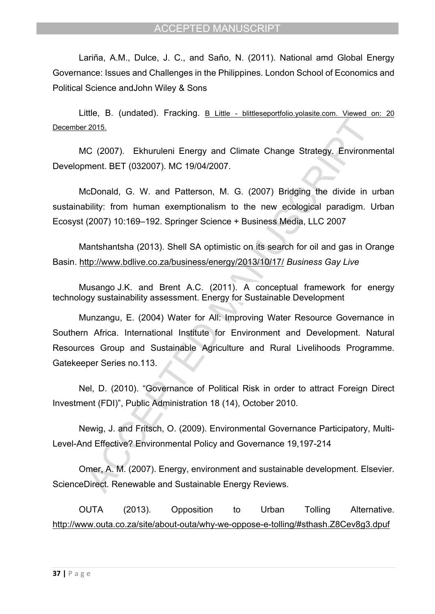Lariña, A.M., Dulce, J. C., and Saño, N. (2011). National amd Global Energy Governance: Issues and Challenges in the Philippines. London School of Economics and Political Science andJohn Wiley & Sons

Little, B. (undated). Fracking. B Little - blittleseportfolio.yolasite.com. Viewed on: 20 December 2015.

MC (2007). Ekhuruleni Energy and Climate Change Strategy. Environmental Development. BET (032007). MC 19/04/2007.

McDonald, G. W. and Patterson, M. G. (2007) Bridging the divide in urban sustainability: from human exemptionalism to the new ecological paradigm. Urban Ecosyst (2007) 10:169–192. Springer Science + Business Media, LLC 2007

Mantshantsha (2013). Shell SA optimistic on its search for oil and gas in Orange Basin. <http://www.bdlive.co.za/business/energy/2013/10/17/>*Business Gay Live*

Musango J.K. and Brent A.C. (2011). A conceptual framework for energy technology sustainability assessment. Energy for Sustainable Development

Munzangu, E. (2004) Water for All: Improving Water Resource Governance in Southern Africa. International Institute for Environment and Development. Natural Resources Group and Sustainable Agriculture and Rural Livelihoods Programme. Gatekeeper Series no.113.

Nel, D. (2010). "Governance of Political Risk in order to attract Foreign Direct Investment (FDI)", Public Administration 18 (14), October 2010.

Newig, J. and Fritsch, O. (2009). Environmental Governance Participatory, Multi-Level-And Effective? Environmental Policy and Governance 19,197-214

Omer, A. M. (2007). Energy, environment and sustainable development. Elsevier. ScienceDirect. Renewable and Sustainable Energy Reviews.

OUTA (2013). Opposition to Urban Tolling Alternative. <http://www.outa.co.za/site/about-outa/why-we-oppose-e-tolling/#sthash.Z8Cev8g3.dpuf>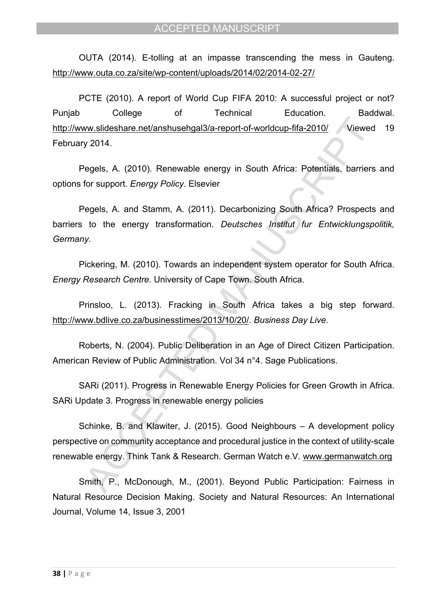OUTA (2014). E-tolling at an impasse transcending the mess in Gauteng. <http://www.outa.co.za/site/wp-content/uploads/2014/02/2014-02-27/>

PCTE (2010). A report of World Cup FIFA 2010: A successful project or not? Punjab College of Technical Education. Baddwal. <http://www.slideshare.net/anshusehgal3/a-report-of-worldcup-fifa-2010/>Viewed 19 February 2014.

Pegels, A. (2010). Renewable energy in South Africa: Potentials, barriers and options for support. *Energy Policy*. Elsevier

Pegels, A. and Stamm, A. (2011). Decarbonizing South Africa? Prospects and barriers to the energy transformation. *Deutsches Institut fur Entwicklungspolitik, Germany*.

Pickering, M. (2010). Towards an independent system operator for South Africa. *Energy Research Centre*. University of Cape Town. South Africa.

Prinsloo, L. (2013). Fracking in South Africa takes a big step forward. [http://www.bdlive.co.za/businesstimes/2013/10/20/.](http://www.bdlive.co.za/businesstimes/2013/10/20/) *Business Day Live*.

Roberts, N. (2004). Public Deliberation in an Age of Direct Citizen Participation. American Review of Public Administration. Vol 34 n°4. Sage Publications.

SARi (2011). Progress in Renewable Energy Policies for Green Growth in Africa. SARi Update 3. Progress in renewable energy policies

Schinke, B. and Klawiter, J. (2015). Good Neighbours – A development policy perspective on community acceptance and procedural justice in the context of utility-scale renewable energy. Think Tank & Research. German Watch e.V. [www.germanwatch.org](http://www.germanwatch.org) 

Smith, P., McDonough, M., (2001). Beyond Public Participation: Fairness in Natural Resource Decision Making. Society and Natural Resources: An International Journal, Volume 14, Issue 3, 2001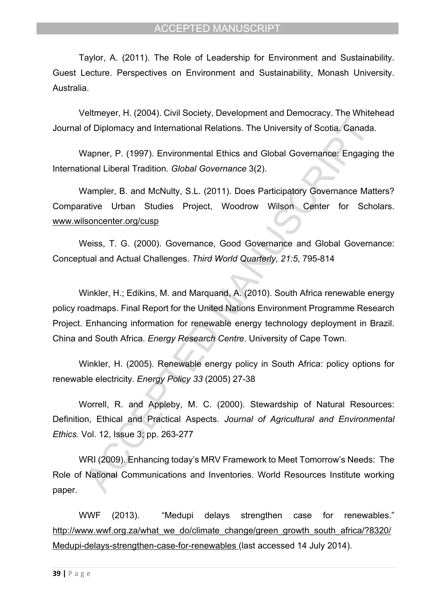Taylor, A. (2011). The Role of Leadership for Environment and Sustainability. Guest Lecture. Perspectives on Environment and Sustainability, Monash University. Australia.

Veltmeyer, H. (2004). Civil Society, Development and Democracy. The Whitehead Journal of Diplomacy and International Relations. The University of Scotia. Canada.

Wapner, P. (1997). Environmental Ethics and Global Governance: Engaging the International Liberal Tradition. *Global Governance* 3(2).

Wampler, B. and McNulty, S.L. (2011). Does Participatory Governance Matters? Comparative Urban Studies Project, Woodrow Wilson Center for Scholars. [www.wilsoncenter.org/cusp](http://www.wilsoncenter.org/cusp)

Weiss, T. G. (2000). Governance, Good Governance and Global Governance: Conceptual and Actual Challenges. *Third World Quarterly, 21:5*, 795-814

Winkler, H.; Edikins, M. and Marquand, A. (2010). South Africa renewable energy policy roadmaps. Final Report for the United Nations Environment Programme Research Project. Enhancing information for renewable energy technology deployment in Brazil. China and South Africa. *Energy Research Centre*. University of Cape Town.

Winkler, H. (2005). Renewable energy policy in South Africa: policy options for renewable electricity. *Energy Policy 33* (2005) 27-38

Worrell, R. and Appleby, M. C. (2000). Stewardship of Natural Resources: Definition, Ethical and Practical Aspects. *Journal of Agricultural and Environmental Ethics*. Vol. 12, Issue 3; pp. 263-277

WRI (2009). Enhancing today's MRV Framework to Meet Tomorrow's Needs: The Role of National Communications and Inventories. World Resources Institute working paper.

WWF (2013). "Medupi delays strengthen case for renewables." [http://www.wwf.org.za/what\\_we\\_do/climate\\_change/green\\_growth\\_south\\_africa/?8320/](http://www.wwf.org.za/what_we_do/climate_change/green_growth_south_africa/?8320/Medupi-delays-strengthen-case-for-renewables) [Medupi-delays-strengthen-case-for-renewables](http://www.wwf.org.za/what_we_do/climate_change/green_growth_south_africa/?8320/Medupi-delays-strengthen-case-for-renewables) (last accessed 14 July 2014).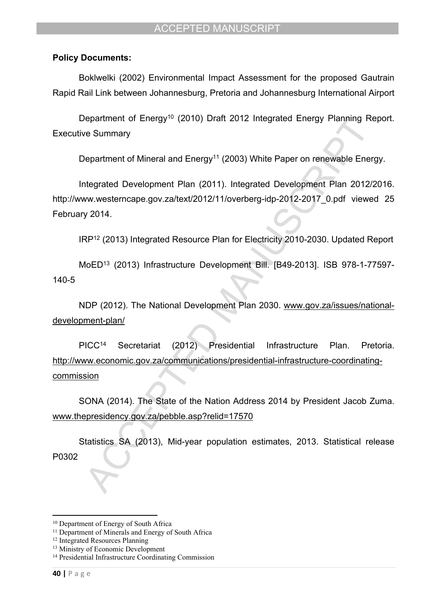#### **Policy Documents:**

Boklwelki (2002) Environmental Impact Assessment for the proposed Gautrain Rapid Rail Link between Johannesburg, Pretoria and Johannesburg International Airport

Department of Energy<sup>10</sup> (2010) Draft 2012 Integrated Energy Planning Report. Executive Summary

Department of Mineral and Energy<sup>11</sup> (2003) White Paper on renewable Energy.

Integrated Development Plan (2011). Integrated Development Plan 2012/2016. http://www.westerncape.gov.za/text/2012/11/overberg-idp-2012-2017\_0.pdf\_viewed 25 February 2014.

IRP<sup>12</sup> (2013) Integrated Resource Plan for Electricity 2010-2030. Updated Report

MoED<sup>13</sup> (2013) Infrastructure Development Bill. [B49-2013]. ISB 978-1-77597- 140-5

NDP (2012). The National Development Plan 2030. [www.gov.za/issues/national](http://www.gov.za/issues/national-development-plan/)[development-plan/](http://www.gov.za/issues/national-development-plan/) 

PICC<sup>14</sup> Secretariat (2012) Presidential Infrastructure Plan. Pretoria. [http://www.economic.gov.za/communications/presidential-infrastructure-coordinating](http://www.economic.gov.za/communications/presidential-infrastructure-coordinating-commission)[commission](http://www.economic.gov.za/communications/presidential-infrastructure-coordinating-commission)

SONA (2014). The State of the Nation Address 2014 by President Jacob Zuma. [www.thepresidency.gov.za/pebble.asp?relid=17570](http://www.thepresidency.gov.za/pebble.asp?relid=17570) 

Statistics SA (2013), Mid-year population estimates, 2013. Statistical release P0302

<sup>10</sup> Department of Energy of South Africa

<sup>&</sup>lt;sup>11</sup> Department of Minerals and Energy of South Africa

<sup>12</sup> Integrated Resources Planning

<sup>&</sup>lt;sup>13</sup> Ministry of Economic Development

<sup>14</sup> Presidential Infrastructure Coordinating Commission